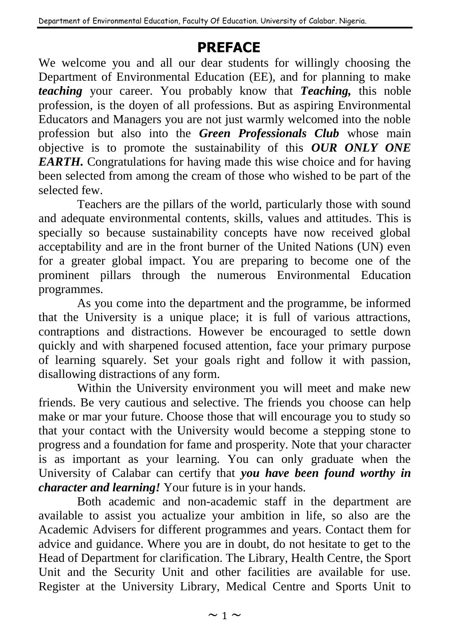## **PREFACE**

We welcome you and all our dear students for willingly choosing the Department of Environmental Education (EE), and for planning to make *teaching* your career. You probably know that *Teaching,* this noble profession, is the doyen of all professions. But as aspiring Environmental Educators and Managers you are not just warmly welcomed into the noble profession but also into the *Green Professionals Club* whose main objective is to promote the sustainability of this *OUR ONLY ONE EARTH.* Congratulations for having made this wise choice and for having been selected from among the cream of those who wished to be part of the selected few.

Teachers are the pillars of the world, particularly those with sound and adequate environmental contents, skills, values and attitudes. This is specially so because sustainability concepts have now received global acceptability and are in the front burner of the United Nations (UN) even for a greater global impact. You are preparing to become one of the prominent pillars through the numerous Environmental Education programmes.

As you come into the department and the programme, be informed that the University is a unique place; it is full of various attractions, contraptions and distractions. However be encouraged to settle down quickly and with sharpened focused attention, face your primary purpose of learning squarely. Set your goals right and follow it with passion, disallowing distractions of any form.

Within the University environment you will meet and make new friends. Be very cautious and selective. The friends you choose can help make or mar your future. Choose those that will encourage you to study so that your contact with the University would become a stepping stone to progress and a foundation for fame and prosperity. Note that your character is as important as your learning. You can only graduate when the University of Calabar can certify that *you have been found worthy in character and learning!* Your future is in your hands.

Both academic and non-academic staff in the department are available to assist you actualize your ambition in life, so also are the Academic Advisers for different programmes and years. Contact them for advice and guidance. Where you are in doubt, do not hesitate to get to the Head of Department for clarification. The Library, Health Centre, the Sport Unit and the Security Unit and other facilities are available for use. Register at the University Library, Medical Centre and Sports Unit to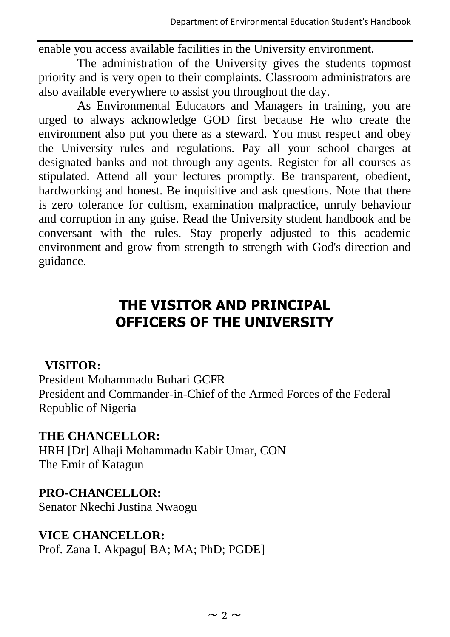enable you access available facilities in the University environment.

The administration of the University gives the students topmost priority and is very open to their complaints. Classroom administrators are also available everywhere to assist you throughout the day.

As Environmental Educators and Managers in training, you are urged to always acknowledge GOD first because He who create the environment also put you there as a steward. You must respect and obey the University rules and regulations. Pay all your school charges at designated banks and not through any agents. Register for all courses as stipulated. Attend all your lectures promptly. Be transparent, obedient, hardworking and honest. Be inquisitive and ask questions. Note that there is zero tolerance for cultism, examination malpractice, unruly behaviour and corruption in any guise. Read the University student handbook and be conversant with the rules. Stay properly adjusted to this academic environment and grow from strength to strength with God's direction and guidance.

## **THE VISITOR AND PRINCIPAL OFFICERS OF THE UNIVERSITY**

## **VISITOR:**

President Mohammadu Buhari GCFR President and Commander-in-Chief of the Armed Forces of the Federal Republic of Nigeria

## **THE CHANCELLOR:**

HRH [Dr] Alhaji Mohammadu Kabir Umar, CON The Emir of Katagun

## **PRO-CHANCELLOR:**

Senator Nkechi Justina Nwaogu

## **VICE CHANCELLOR:**

Prof. Zana I. Akpagu[ BA; MA; PhD; PGDE]

 $\sim$  2  $\sim$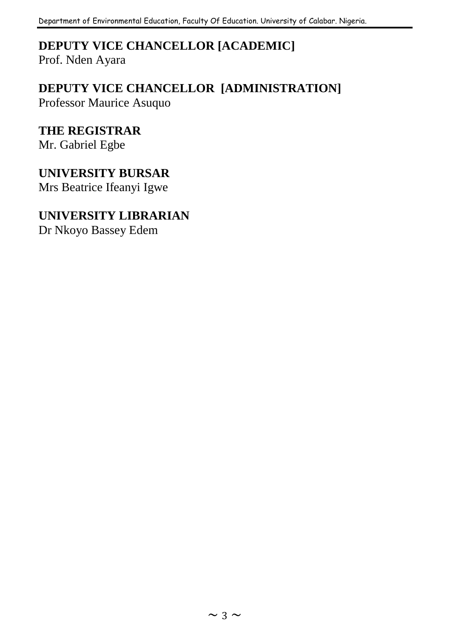# **DEPUTY VICE CHANCELLOR [ACADEMIC]**

Prof. Nden Ayara

## **DEPUTY VICE CHANCELLOR [ADMINISTRATION]**

Professor Maurice Asuquo

## **THE REGISTRAR**

Mr. Gabriel Egbe

## **UNIVERSITY BURSAR**

Mrs Beatrice Ifeanyi Igwe

### **UNIVERSITY LIBRARIAN**

Dr Nkoyo Bassey Edem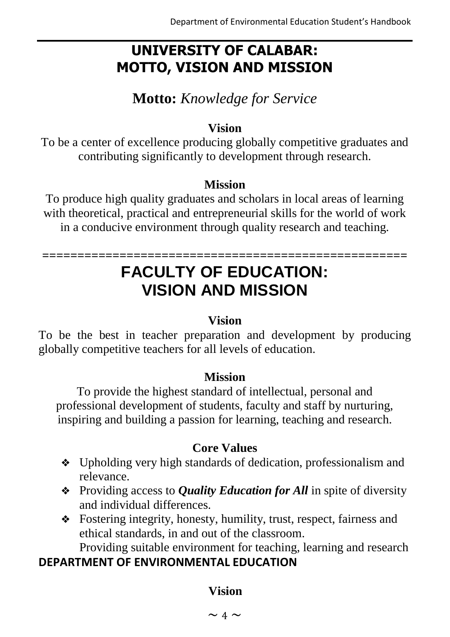## **UNIVERSITY OF CALABAR: MOTTO, VISION AND MISSION**

**Motto:** *Knowledge for Service*

## **Vision**

To be a center of excellence producing globally competitive graduates and contributing significantly to development through research.

### **Mission**

To produce high quality graduates and scholars in local areas of learning with theoretical, practical and entrepreneurial skills for the world of work in a conducive environment through quality research and teaching.

## **==================================================== FACULTY OF EDUCATION: VISION AND MISSION**

### **Vision**

To be the best in teacher preparation and development by producing globally competitive teachers for all levels of education.

### **Mission**

To provide the highest standard of intellectual, personal and professional development of students, faculty and staff by nurturing, inspiring and building a passion for learning, teaching and research.

### **Core Values**

- ❖ Upholding very high standards of dedication, professionalism and relevance.
- ❖ Providing access to *Quality Education for All* in spite of diversity and individual differences.
- ❖ Fostering integrity, honesty, humility, trust, respect, fairness and ethical standards, in and out of the classroom. Providing suitable environment for teaching, learning and research

## **DEPARTMENT OF ENVIRONMENTAL EDUCATION**

### **Vision**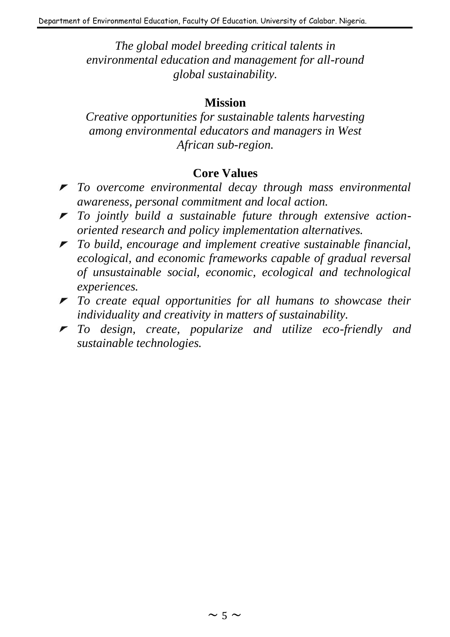*The global model breeding critical talents in environmental education and management for all-round global sustainability.*

#### **Mission**

*Creative opportunities for sustainable talents harvesting among environmental educators and managers in West African sub-region.*

#### **Core Values**

- *To overcome environmental decay through mass environmental awareness, personal commitment and local action.*
- *To jointly build a sustainable future through extensive actionoriented research and policy implementation alternatives.*
- *To build, encourage and implement creative sustainable financial, ecological, and economic frameworks capable of gradual reversal of unsustainable social, economic, ecological and technological experiences.*
- *To create equal opportunities for all humans to showcase their individuality and creativity in matters of sustainability.*
- *To design, create, popularize and utilize eco-friendly and sustainable technologies.*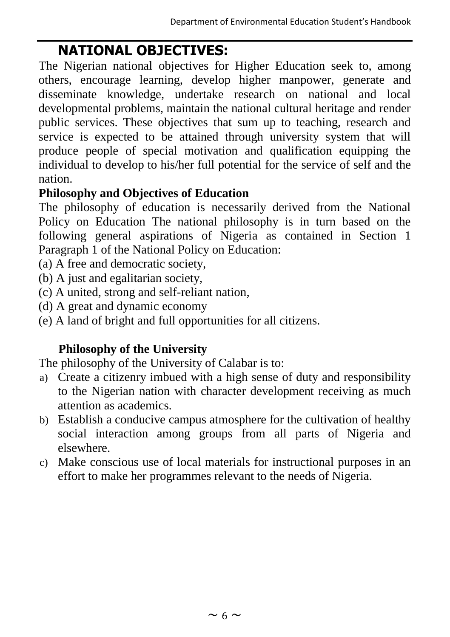## **NATIONAL OBJECTIVES:**

The Nigerian national objectives for Higher Education seek to, among others, encourage learning, develop higher manpower, generate and disseminate knowledge, undertake research on national and local developmental problems, maintain the national cultural heritage and render public services. These objectives that sum up to teaching, research and service is expected to be attained through university system that will produce people of special motivation and qualification equipping the individual to develop to his/her full potential for the service of self and the nation.

## **Philosophy and Objectives of Education**

The philosophy of education is necessarily derived from the National Policy on Education The national philosophy is in turn based on the following general aspirations of Nigeria as contained in Section 1 Paragraph 1 of the National Policy on Education:

- (a) A free and democratic society,
- (b) A just and egalitarian society,
- (c) A united, strong and self-reliant nation,
- (d) A great and dynamic economy
- (e) A land of bright and full opportunities for all citizens.

## **Philosophy of the University**

The philosophy of the University of Calabar is to:

- a) Create a citizenry imbued with a high sense of duty and responsibility to the Nigerian nation with character development receiving as much attention as academics.
- b) Establish a conducive campus atmosphere for the cultivation of healthy social interaction among groups from all parts of Nigeria and elsewhere.
- c) Make conscious use of local materials for instructional purposes in an effort to make her programmes relevant to the needs of Nigeria.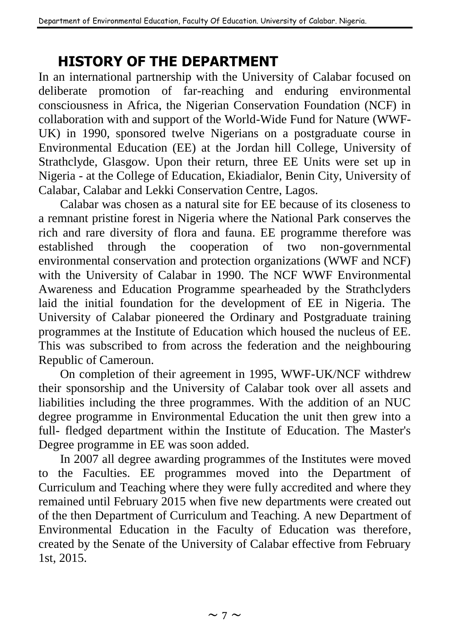## **HISTORY OF THE DEPARTMENT**

In an international partnership with the University of Calabar focused on deliberate promotion of far-reaching and enduring environmental consciousness in Africa, the Nigerian Conservation Foundation (NCF) in collaboration with and support of the World-Wide Fund for Nature (WWF-UK) in 1990, sponsored twelve Nigerians on a postgraduate course in Environmental Education (EE) at the Jordan hill College, University of Strathclyde, Glasgow. Upon their return, three EE Units were set up in Nigeria - at the College of Education, Ekiadialor, Benin City, University of Calabar, Calabar and Lekki Conservation Centre, Lagos.

Calabar was chosen as a natural site for EE because of its closeness to a remnant pristine forest in Nigeria where the National Park conserves the rich and rare diversity of flora and fauna. EE programme therefore was established through the cooperation of two non-governmental environmental conservation and protection organizations (WWF and NCF) with the University of Calabar in 1990. The NCF WWF Environmental Awareness and Education Programme spearheaded by the Strathclyders laid the initial foundation for the development of EE in Nigeria. The University of Calabar pioneered the Ordinary and Postgraduate training programmes at the Institute of Education which housed the nucleus of EE. This was subscribed to from across the federation and the neighbouring Republic of Cameroun.

On completion of their agreement in 1995, WWF-UK/NCF withdrew their sponsorship and the University of Calabar took over all assets and liabilities including the three programmes. With the addition of an NUC degree programme in Environmental Education the unit then grew into a full- fledged department within the Institute of Education. The Master's Degree programme in EE was soon added.

In 2007 all degree awarding programmes of the Institutes were moved to the Faculties. EE programmes moved into the Department of Curriculum and Teaching where they were fully accredited and where they remained until February 2015 when five new departments were created out of the then Department of Curriculum and Teaching. A new Department of Environmental Education in the Faculty of Education was therefore, created by the Senate of the University of Calabar effective from February 1st, 2015.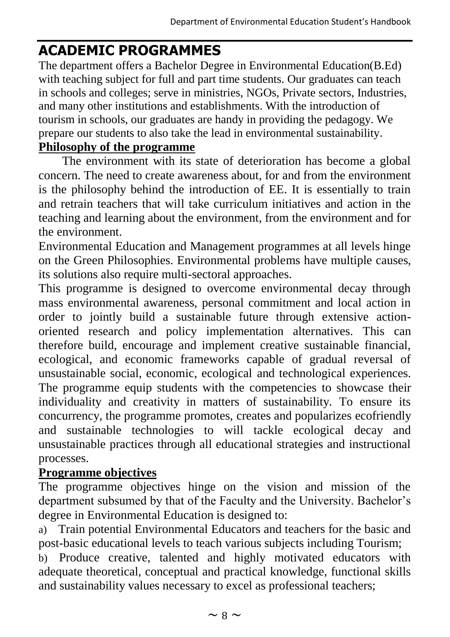## **ACADEMIC PROGRAMMES**

The department offers a Bachelor Degree in Environmental Education(B.Ed) with teaching subject for full and part time students. Our graduates can teach in schools and colleges; serve in ministries, NGOs, Private sectors, Industries, and many other institutions and establishments. With the introduction of tourism in schools, our graduates are handy in providing the pedagogy. We prepare our students to also take the lead in environmental sustainability.

## **Philosophy of the programme**

The environment with its state of deterioration has become a global concern. The need to create awareness about, for and from the environment is the philosophy behind the introduction of EE. It is essentially to train and retrain teachers that will take curriculum initiatives and action in the teaching and learning about the environment, from the environment and for the environment.

Environmental Education and Management programmes at all levels hinge on the Green Philosophies. Environmental problems have multiple causes, its solutions also require multi-sectoral approaches.

This programme is designed to overcome environmental decay through mass environmental awareness, personal commitment and local action in order to jointly build a sustainable future through extensive actionoriented research and policy implementation alternatives. This can therefore build, encourage and implement creative sustainable financial, ecological, and economic frameworks capable of gradual reversal of unsustainable social, economic, ecological and technological experiences. The programme equip students with the competencies to showcase their individuality and creativity in matters of sustainability. To ensure its concurrency, the programme promotes, creates and popularizes ecofriendly and sustainable technologies to will tackle ecological decay and unsustainable practices through all educational strategies and instructional processes.

## **Programme objectives**

The programme objectives hinge on the vision and mission of the department subsumed by that of the Faculty and the University. Bachelor's degree in Environmental Education is designed to:

a) Train potential Environmental Educators and teachers for the basic and post-basic educational levels to teach various subjects including Tourism;

b) Produce creative, talented and highly motivated educators with adequate theoretical, conceptual and practical knowledge, functional skills and sustainability values necessary to excel as professional teachers;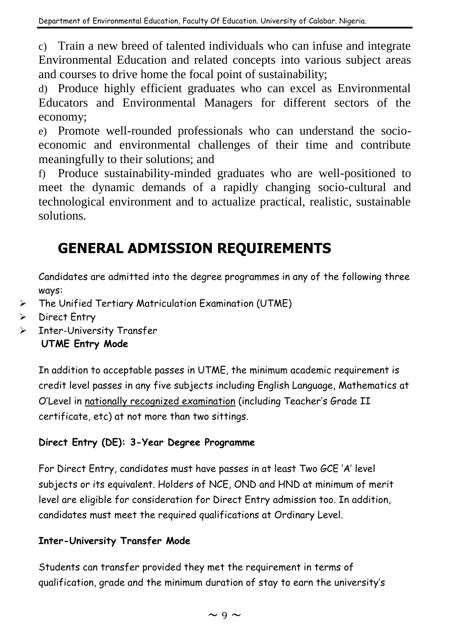c) Train a new breed of talented individuals who can infuse and integrate Environmental Education and related concepts into various subject areas and courses to drive home the focal point of sustainability;

d) Produce highly efficient graduates who can excel as Environmental Educators and Environmental Managers for different sectors of the economy;

e) Promote well-rounded professionals who can understand the socioeconomic and environmental challenges of their time and contribute meaningfully to their solutions; and

f) Produce sustainability-minded graduates who are well-positioned to meet the dynamic demands of a rapidly changing socio-cultural and technological environment and to actualize practical, realistic, sustainable solutions.

## **GENERAL ADMISSION REQUIREMENTS**

Candidates are admitted into the degree programmes in any of the following three ways:

- ➢ The Unified Tertiary Matriculation Examination (UTME)
- ➢ Direct Entry
- ➢ Inter-University Transfer

**UTME Entry Mode** 

In addition to acceptable passes in UTME, the minimum academic requirement is credit level passes in any five subjects including English Language, Mathematics at O'Level in nationally recognized examination (including Teacher's Grade II certificate, etc) at not more than two sittings.

### **Direct Entry (DE): 3-Year Degree Programme**

For Direct Entry, candidates must have passes in at least Two GCE 'A' level subjects or its equivalent. Holders of NCE, OND and HND at minimum of merit level are eligible for consideration for Direct Entry admission too. In addition, candidates must meet the required qualifications at Ordinary Level.

### **Inter-University Transfer Mode**

Students can transfer provided they met the requirement in terms of qualification, grade and the minimum duration of stay to earn the university's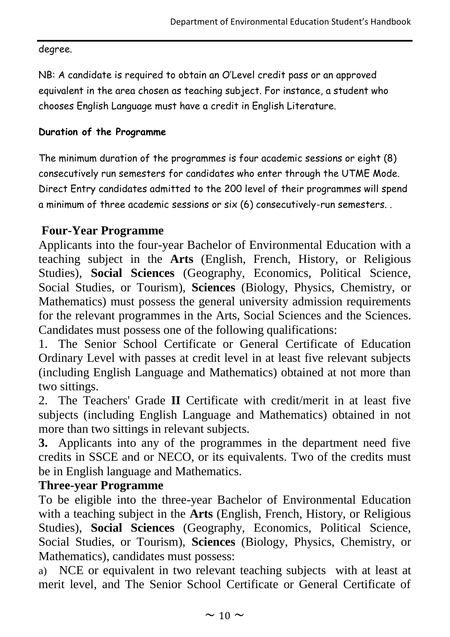#### degree.

NB: A candidate is required to obtain an O'Level credit pass or an approved equivalent in the area chosen as teaching subject. For instance, a student who chooses English Language must have a credit in English Literature.

### **Duration of the Programme**

The minimum duration of the programmes is four academic sessions or eight (8) consecutively run semesters for candidates who enter through the UTME Mode. Direct Entry candidates admitted to the 200 level of their programmes will spend a minimum of three academic sessions or six (6) consecutively-run semesters. .

## **Four-Year Programme**

Applicants into the four-year Bachelor of Environmental Education with a teaching subject in the **Arts** (English, French, History, or Religious Studies), **Social Sciences** (Geography, Economics, Political Science, Social Studies, or Tourism), **Sciences** (Biology, Physics, Chemistry, or Mathematics) must possess the general university admission requirements for the relevant programmes in the Arts, Social Sciences and the Sciences. Candidates must possess one of the following qualifications:

1. The Senior School Certificate or General Certificate of Education Ordinary Level with passes at credit level in at least five relevant subjects (including English Language and Mathematics) obtained at not more than two sittings.

2. The Teachers' Grade **II** Certificate with credit/merit in at least five subjects (including English Language and Mathematics) obtained in not more than two sittings in relevant subjects.

**3.** Applicants into any of the programmes in the department need five credits in SSCE and or NECO, or its equivalents. Two of the credits must be in English language and Mathematics.

## **Three-year Programme**

To be eligible into the three-year Bachelor of Environmental Education with a teaching subject in the **Arts** (English, French, History, or Religious Studies), **Social Sciences** (Geography, Economics, Political Science, Social Studies, or Tourism), **Sciences** (Biology, Physics, Chemistry, or Mathematics), candidates must possess:

a) NCE or equivalent in two relevant teaching subjects with at least at merit level, and The Senior School Certificate or General Certificate of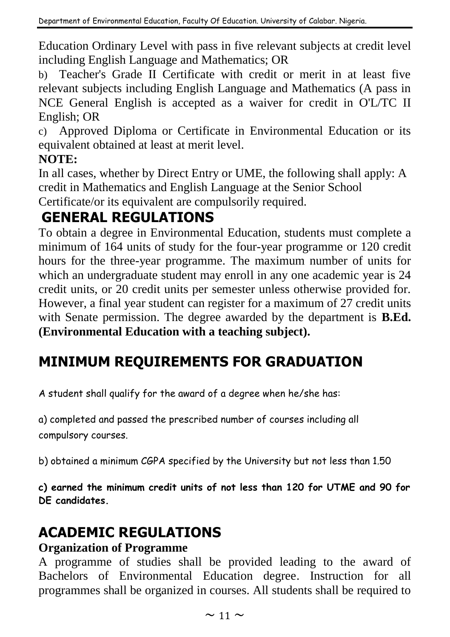Education Ordinary Level with pass in five relevant subjects at credit level including English Language and Mathematics; OR

b) Teacher's Grade II Certificate with credit or merit in at least five relevant subjects including English Language and Mathematics (A pass in NCE General English is accepted as a waiver for credit in O'L/TC II English; OR

c) Approved Diploma or Certificate in Environmental Education or its equivalent obtained at least at merit level.

## **NOTE:**

In all cases, whether by Direct Entry or UME, the following shall apply: A credit in Mathematics and English Language at the Senior School

Certificate/or its equivalent are compulsorily required.

## **GENERAL REGULATIONS**

To obtain a degree in Environmental Education, students must complete a minimum of 164 units of study for the four-year programme or 120 credit hours for the three-year programme. The maximum number of units for which an undergraduate student may enroll in any one academic year is 24 credit units, or 20 credit units per semester unless otherwise provided for. However, a final year student can register for a maximum of 27 credit units with Senate permission. The degree awarded by the department is **B.Ed. (Environmental Education with a teaching subject).**

## **MINIMUM REQUIREMENTS FOR GRADUATION**

A student shall qualify for the award of a degree when he/she has:

a) completed and passed the prescribed number of courses including all compulsory courses.

b) obtained a minimum CGPA specified by the University but not less than 1.50

**c) earned the minimum credit units of not less than 120 for UTME and 90 for DE candidates.**

## **ACADEMIC REGULATIONS**

## **Organization of Programme**

A programme of studies shall be provided leading to the award of Bachelors of Environmental Education degree. Instruction for all programmes shall be organized in courses. All students shall be required to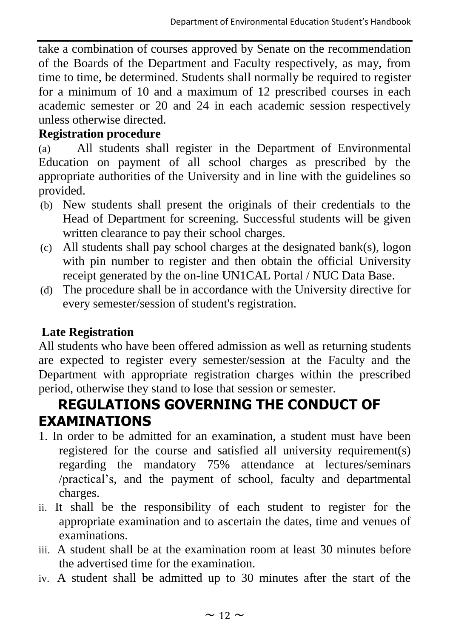take a combination of courses approved by Senate on the recommendation of the Boards of the Department and Faculty respectively, as may, from time to time, be determined. Students shall normally be required to register for a minimum of 10 and a maximum of 12 prescribed courses in each academic semester or 20 and 24 in each academic session respectively unless otherwise directed.

## **Registration procedure**

(a) All students shall register in the Department of Environmental Education on payment of all school charges as prescribed by the appropriate authorities of the University and in line with the guidelines so provided.

- (b) New students shall present the originals of their credentials to the Head of Department for screening. Successful students will be given written clearance to pay their school charges.
- (c) All students shall pay school charges at the designated bank(s), logon with pin number to register and then obtain the official University receipt generated by the on-line UN1CAL Portal / NUC Data Base.
- (d) The procedure shall be in accordance with the University directive for every semester/session of student's registration.

## **Late Registration**

All students who have been offered admission as well as returning students are expected to register every semester/session at the Faculty and the Department with appropriate registration charges within the prescribed period, otherwise they stand to lose that session or semester.

## **REGULATIONS GOVERNING THE CONDUCT OF EXAMINATIONS**

- 1. In order to be admitted for an examination, a student must have been registered for the course and satisfied all university requirement(s) regarding the mandatory 75% attendance at lectures/seminars /practical's, and the payment of school, faculty and departmental charges.
- ii. It shall be the responsibility of each student to register for the appropriate examination and to ascertain the dates, time and venues of examinations.
- iii. A student shall be at the examination room at least 30 minutes before the advertised time for the examination.
- iv. A student shall be admitted up to 30 minutes after the start of the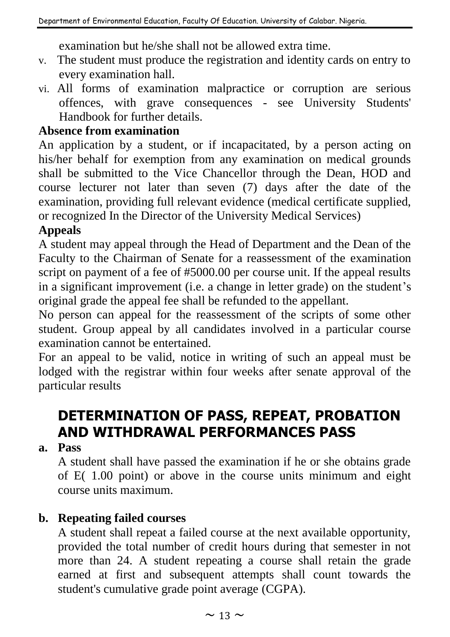examination but he/she shall not be allowed extra time.

- v. The student must produce the registration and identity cards on entry to every examination hall.
- vi. All forms of examination malpractice or corruption are serious offences, with grave consequences - see University Students' Handbook for further details.

### **Absence from examination**

An application by a student, or if incapacitated, by a person acting on his/her behalf for exemption from any examination on medical grounds shall be submitted to the Vice Chancellor through the Dean, HOD and course lecturer not later than seven (7) days after the date of the examination, providing full relevant evidence (medical certificate supplied, or recognized In the Director of the University Medical Services)

## **Appeals**

A student may appeal through the Head of Department and the Dean of the Faculty to the Chairman of Senate for a reassessment of the examination script on payment of a fee of #5000.00 per course unit. If the appeal results in a significant improvement (i.e. a change in letter grade) on the student's original grade the appeal fee shall be refunded to the appellant.

No person can appeal for the reassessment of the scripts of some other student. Group appeal by all candidates involved in a particular course examination cannot be entertained.

For an appeal to be valid, notice in writing of such an appeal must be lodged with the registrar within four weeks after senate approval of the particular results

## **DETERMINATION OF PASS, REPEAT, PROBATION AND WITHDRAWAL PERFORMANCES PASS**

### **a. Pass**

A student shall have passed the examination if he or she obtains grade of E( 1.00 point) or above in the course units minimum and eight course units maximum.

## **b. Repeating failed courses**

A student shall repeat a failed course at the next available opportunity, provided the total number of credit hours during that semester in not more than 24. A student repeating a course shall retain the grade earned at first and subsequent attempts shall count towards the student's cumulative grade point average (CGPA).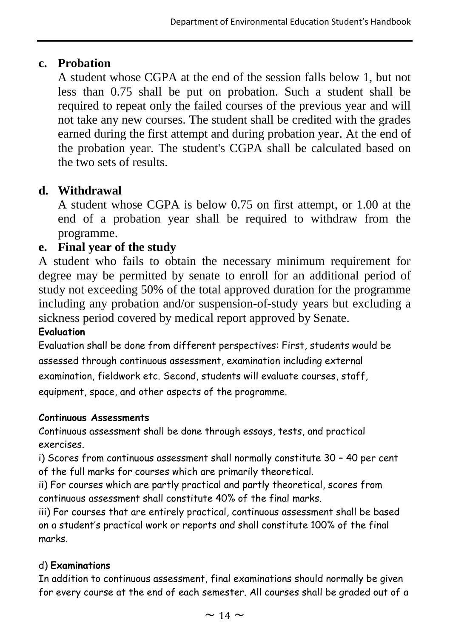## **c. Probation**

A student whose CGPA at the end of the session falls below 1, but not less than 0.75 shall be put on probation. Such a student shall be required to repeat only the failed courses of the previous year and will not take any new courses. The student shall be credited with the grades earned during the first attempt and during probation year. At the end of the probation year. The student's CGPA shall be calculated based on the two sets of results.

## **d. Withdrawal**

A student whose CGPA is below 0.75 on first attempt, or 1.00 at the end of a probation year shall be required to withdraw from the programme.

## **e. Final year of the study**

A student who fails to obtain the necessary minimum requirement for degree may be permitted by senate to enroll for an additional period of study not exceeding 50% of the total approved duration for the programme including any probation and/or suspension-of-study years but excluding a sickness period covered by medical report approved by Senate.

#### **Evaluation**

Evaluation shall be done from different perspectives: First, students would be assessed through continuous assessment, examination including external examination, fieldwork etc. Second, students will evaluate courses, staff, equipment, space, and other aspects of the programme.

#### **Continuous Assessments**

Continuous assessment shall be done through essays, tests, and practical exercises.

i) Scores from continuous assessment shall normally constitute 30 – 40 per cent of the full marks for courses which are primarily theoretical.

ii) For courses which are partly practical and partly theoretical, scores from continuous assessment shall constitute 40% of the final marks.

iii) For courses that are entirely practical, continuous assessment shall be based on a student's practical work or reports and shall constitute 100% of the final marks.

#### d) **Examinations**

In addition to continuous assessment, final examinations should normally be given for every course at the end of each semester. All courses shall be graded out of a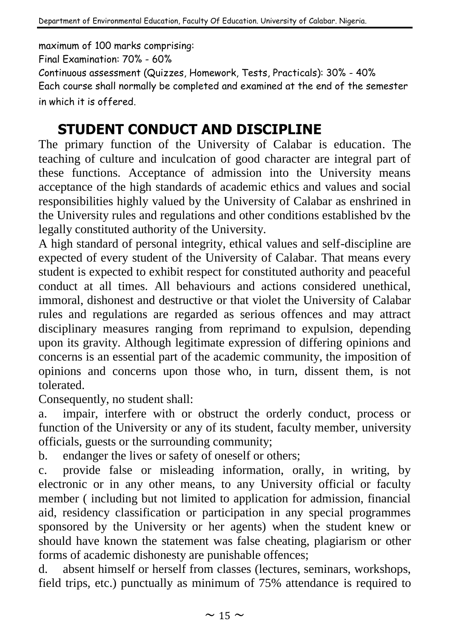maximum of 100 marks comprising:

Final Examination: 70% - 60%

Continuous assessment (Quizzes, Homework, Tests, Practicals): 30% - 40%

Each course shall normally be completed and examined at the end of the semester in which it is offered.

## **STUDENT CONDUCT AND DISCIPLINE**

The primary function of the University of Calabar is education. The teaching of culture and inculcation of good character are integral part of these functions. Acceptance of admission into the University means acceptance of the high standards of academic ethics and values and social responsibilities highly valued by the University of Calabar as enshrined in the University rules and regulations and other conditions established bv the legally constituted authority of the University.

A high standard of personal integrity, ethical values and self-discipline are expected of every student of the University of Calabar. That means every student is expected to exhibit respect for constituted authority and peaceful conduct at all times. All behaviours and actions considered unethical, immoral, dishonest and destructive or that violet the University of Calabar rules and regulations are regarded as serious offences and may attract disciplinary measures ranging from reprimand to expulsion, depending upon its gravity. Although legitimate expression of differing opinions and concerns is an essential part of the academic community, the imposition of opinions and concerns upon those who, in turn, dissent them, is not tolerated.

Consequently, no student shall:

a. impair, interfere with or obstruct the orderly conduct, process or function of the University or any of its student, faculty member, university officials, guests or the surrounding community;

b. endanger the lives or safety of oneself or others;

c. provide false or misleading information, orally, in writing, by electronic or in any other means, to any University official or faculty member ( including but not limited to application for admission, financial aid, residency classification or participation in any special programmes sponsored by the University or her agents) when the student knew or should have known the statement was false cheating, plagiarism or other forms of academic dishonesty are punishable offences;

d. absent himself or herself from classes (lectures, seminars, workshops, field trips, etc.) punctually as minimum of 75% attendance is required to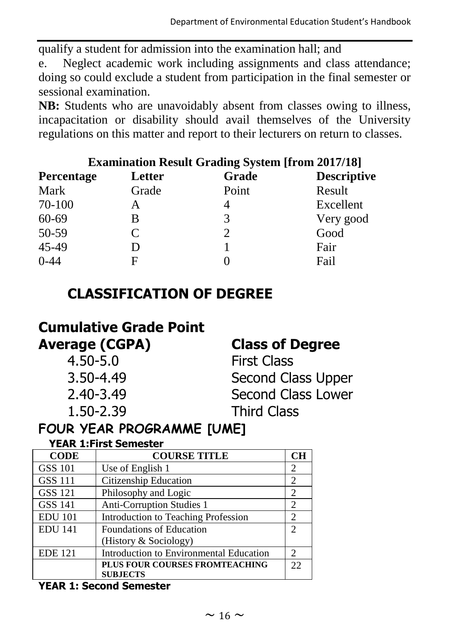qualify a student for admission into the examination hall; and

e. Neglect academic work including assignments and class attendance; doing so could exclude a student from participation in the final semester or sessional examination.

**NB:** Students who are unavoidably absent from classes owing to illness, incapacitation or disability should avail themselves of the University regulations on this matter and report to their lecturers on return to classes.

|             |        | <b>Examination Result Grading System [from 2017/18]</b> |                    |
|-------------|--------|---------------------------------------------------------|--------------------|
| Percentage  | Letter | Grade                                                   | <b>Descriptive</b> |
| <b>Mark</b> | Grade  | Point                                                   | Result             |
| 70-100      | A      | 4                                                       | Excellent          |
| 60-69       | В      | 3                                                       | Very good          |
| 50-59       | C      | $\mathcal{D}_{\mathcal{L}}$                             | Good               |
| 45-49       |        |                                                         | Fair               |
| $0-44$      | F      |                                                         | Fail               |

## **CLASSIFICATION OF DEGREE**

| <b>Cumulative Grade Point</b> |
|-------------------------------|
| <b>Average (CGPA)</b>         |

| 4.50-5.0  |  |
|-----------|--|
| 3.50-4.49 |  |
| 2.40-3.49 |  |
| 1.50-2.39 |  |

## **Class of Degree**

**First Class** Second Class Upper Second Class Lower **Third Class** 

## **FOUR YEAR PROGRAMME [UME]**

### **YEAR 1:First Semester**

| <b>CODE</b>    | <b>COURSE TITLE</b>                     | CН                          |
|----------------|-----------------------------------------|-----------------------------|
| <b>GSS 101</b> | Use of English 1                        | 2                           |
| <b>GSS 111</b> | Citizenship Education                   | 2                           |
| <b>GSS 121</b> | Philosophy and Logic                    | 2                           |
| GSS 141        | Anti-Corruption Studies 1               | 2                           |
| <b>EDU</b> 101 | Introduction to Teaching Profession     | 2                           |
| <b>EDU 141</b> | Foundations of Education                | $\mathcal{D}_{\mathcal{L}}$ |
|                | (History & Sociology)                   |                             |
| <b>EDE</b> 121 | Introduction to Environmental Education | $\mathcal{D}_{\mathcal{L}}$ |
|                | PLUS FOUR COURSES FROMTEACHING          | 22                          |
|                | <b>SUBJECTS</b>                         |                             |

#### **YEAR 1: Second Semester**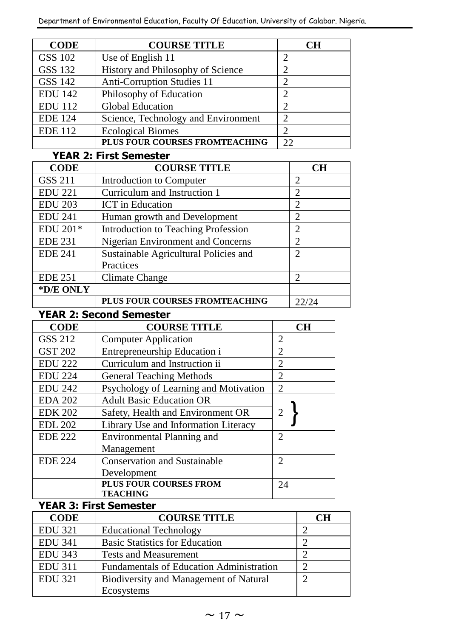| <b>CODE</b>             | <b>COURSE TITLE</b>                 |                | <b>CH</b>      |
|-------------------------|-------------------------------------|----------------|----------------|
| GSS 102                 | Use of English 11                   | 2              |                |
| GSS 132                 | History and Philosophy of Science   | $\overline{2}$ |                |
| GSS 142                 | Anti-Corruption Studies 11          | $\overline{c}$ |                |
| <b>EDU 142</b>          | Philosophy of Education             | $\overline{c}$ |                |
| <b>EDU</b> 112          | <b>Global Education</b>             | $\overline{c}$ |                |
| <b>EDE</b> 124          | Science, Technology and Environment | 2              |                |
| <b>EDE</b> 112          | <b>Ecological Biomes</b>            | 2              |                |
|                         | PLUS FOUR COURSES FROMTEACHING      | 22             |                |
|                         | <b>YEAR 2: First Semester</b>       |                |                |
| <b>CODE</b>             | <b>COURSE TITLE</b>                 |                | CН             |
| GSS 211                 | Introduction to Computer            |                | 2              |
| <b>EDU 221</b>          | Curriculum and Instruction 1        |                | $\overline{c}$ |
| <b>EDU 203</b>          | <b>ICT</b> in Education             |                | $\overline{c}$ |
| <b><u>FIRT A 14</u></b> | <br>$\sim$ $\sim$ $\sim$ $\sim$     |                |                |

| <b>EDU 241</b> | Human growth and Development          | $\overline{c}$ |
|----------------|---------------------------------------|----------------|
| EDU 201*       | Introduction to Teaching Profession   |                |
| <b>EDE 231</b> | Nigerian Environment and Concerns     |                |
| <b>EDE 241</b> | Sustainable Agricultural Policies and | 2              |
|                | Practices                             |                |
| <b>EDE 251</b> | Climate Change                        |                |
| *D/E ONLY      |                                       |                |
|                | PLUS FOUR COURSES FROMTEACHING        | 22/24          |

#### **YEAR 2: Second Semester**

| <b>CODE</b>    | <b>COURSE TITLE</b>                   | <b>CH</b>                   |
|----------------|---------------------------------------|-----------------------------|
| GSS 212        | <b>Computer Application</b>           | $\mathcal{D}_{\mathcal{L}}$ |
| <b>GST 202</b> | Entrepreneurship Education i          | 2                           |
| <b>EDU 222</b> | Curriculum and Instruction ii         | $\mathcal{D}_{\mathcal{L}}$ |
| <b>EDU 224</b> | <b>General Teaching Methods</b>       | $\mathcal{D}_{\mathcal{L}}$ |
| <b>EDU 242</b> | Psychology of Learning and Motivation | $\mathcal{D}_{\mathcal{L}}$ |
| <b>EDA 202</b> | <b>Adult Basic Education OR</b>       |                             |
| <b>EDK 202</b> | Safety, Health and Environment OR     | 2                           |
| <b>EDL 202</b> | Library Use and Information Literacy  |                             |
| <b>EDE 222</b> | Environmental Planning and            | $\mathfrak{D}$              |
|                | Management                            |                             |
| <b>EDE 224</b> | <b>Conservation and Sustainable</b>   | $\mathcal{D}_{\mathcal{L}}$ |
|                | Development                           |                             |
|                | <b>PLUS FOUR COURSES FROM</b>         | 24                          |
|                | <b>TEACHING</b>                       |                             |

#### **YEAR 3: First Semester**

| <b>CODE</b>    | <b>COURSE TITLE</b>                             | ÷Н |
|----------------|-------------------------------------------------|----|
| <b>EDU 321</b> | <b>Educational Technology</b>                   |    |
| <b>EDU 341</b> | <b>Basic Statistics for Education</b>           |    |
| <b>EDU 343</b> | <b>Tests and Measurement</b>                    |    |
| <b>EDU 311</b> | <b>Fundamentals of Education Administration</b> |    |
| <b>EDU 321</b> | Biodiversity and Management of Natural          | ി  |
|                | Ecosystems                                      |    |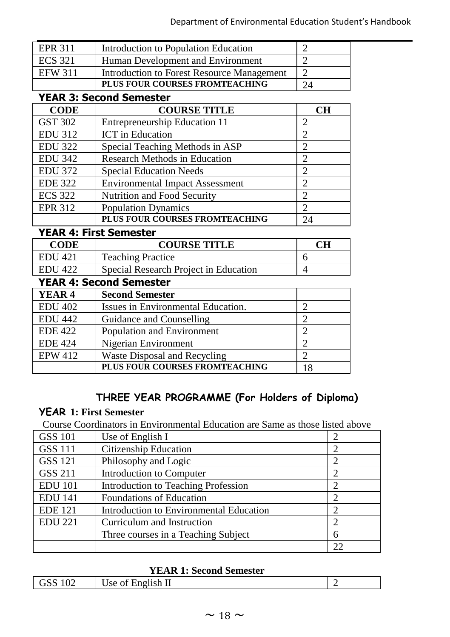| <b>EPR 311</b> | Introduction to Population Education       |    |
|----------------|--------------------------------------------|----|
| <b>ECS</b> 321 | Human Development and Environment          |    |
| <b>EFW 311</b> | Introduction to Forest Resource Management |    |
|                | PLUS FOUR COURSES FROMTEACHING             | 24 |

#### **YEAR 3: Second Semester**

| <b>CODE</b>    | <b>COURSE TITLE</b>                    | <b>CH</b>                   |
|----------------|----------------------------------------|-----------------------------|
| GST 302        | Entrepreneurship Education 11          | 2                           |
| <b>EDU 312</b> | <b>ICT</b> in Education                | 2                           |
| <b>EDU 322</b> | Special Teaching Methods in ASP        | 2                           |
| <b>EDU 342</b> | Research Methods in Education          | 2                           |
| <b>EDU 372</b> | <b>Special Education Needs</b>         | $\mathfrak{D}$              |
| <b>EDE 322</b> | <b>Environmental Impact Assessment</b> | $\mathfrak{D}$              |
| <b>ECS 322</b> | Nutrition and Food Security            | $\mathfrak{D}$              |
| <b>EPR 312</b> | <b>Population Dynamics</b>             | $\mathcal{D}_{\mathcal{L}}$ |
|                | PLUS FOUR COURSES FROMTEACHING         | 24                          |

#### **YEAR 4: First Semester**

| <b>CODE</b>    | <b>COURSE TITLE</b>                   | CН |
|----------------|---------------------------------------|----|
| <b>EDU</b> 421 | <b>Teaching Practice</b>              |    |
| EDU 422        | Special Research Project in Education |    |

### **YEAR 4: Second Semester**

| YEAR <sub>4</sub> | <b>Second Semester</b>             |  |
|-------------------|------------------------------------|--|
| <b>EDU 402</b>    | Issues in Environmental Education. |  |
| <b>EDU 442</b>    | Guidance and Counselling           |  |
| <b>EDE 422</b>    | Population and Environment         |  |
| <b>EDE 424</b>    | Nigerian Environment               |  |
| <b>EPW 412</b>    | Waste Disposal and Recycling       |  |
|                   | PLUS FOUR COURSES FROMTEACHING     |  |

### **THREE YEAR PROGRAMME (For Holders of Diploma)**

### **YEAR 1: First Semester**

Course Coordinators in Environmental Education are Same as those listed above

| <b>GSS 101</b> | Use of English I                        |    |
|----------------|-----------------------------------------|----|
| <b>GSS 111</b> | Citizenship Education                   |    |
| GSS 121        | Philosophy and Logic                    |    |
| <b>GSS 211</b> | Introduction to Computer                |    |
| <b>EDU</b> 101 | Introduction to Teaching Profession     |    |
| <b>EDU 141</b> | <b>Foundations of Education</b>         |    |
| <b>EDE 121</b> | Introduction to Environmental Education |    |
| <b>EDU 221</b> | Curriculum and Instruction              |    |
|                | Three courses in a Teaching Subject     | 6  |
|                |                                         | 22 |

#### **YEAR 1: Second Semester**

| .no<br>$U\angle$<br>ят т<br>- -<br>____ |
|-----------------------------------------|
|-----------------------------------------|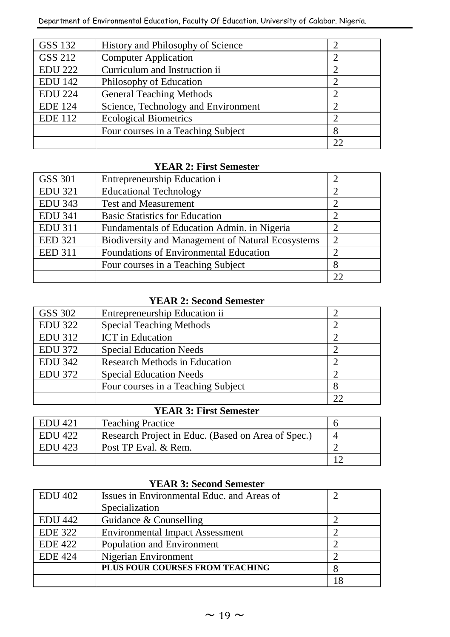| GSS 132        | History and Philosophy of Science   |    |
|----------------|-------------------------------------|----|
| GSS 212        | <b>Computer Application</b>         |    |
| <b>EDU 222</b> | Curriculum and Instruction ii       |    |
| <b>EDU</b> 142 | Philosophy of Education             |    |
| <b>EDU 224</b> | General Teaching Methods            |    |
| <b>EDE</b> 124 | Science, Technology and Environment |    |
| <b>EDE 112</b> | <b>Ecological Biometrics</b>        |    |
|                | Four courses in a Teaching Subject  | 8  |
|                |                                     | つつ |

#### **YEAR 2: First Semester**

| GSS 301        | Entrepreneurship Education i                      |    |
|----------------|---------------------------------------------------|----|
| <b>EDU 321</b> | <b>Educational Technology</b>                     |    |
| <b>EDU 343</b> | <b>Test and Measurement</b>                       |    |
| <b>EDU 341</b> | <b>Basic Statistics for Education</b>             |    |
| <b>EDU 311</b> | Fundamentals of Education Admin. in Nigeria       |    |
| <b>EED 321</b> | Biodiversity and Management of Natural Ecosystems |    |
| <b>EED 311</b> | Foundations of Environmental Education            |    |
|                | Four courses in a Teaching Subject                | 8  |
|                |                                                   | つつ |

#### **YEAR 2: Second Semester**

| GSS 302        | Entrepreneurship Education ii      |  |
|----------------|------------------------------------|--|
| <b>EDU 322</b> | Special Teaching Methods           |  |
| <b>EDU 312</b> | <b>ICT</b> in Education            |  |
| <b>EDU 372</b> | <b>Special Education Needs</b>     |  |
| <b>EDU 342</b> | Research Methods in Education      |  |
| <b>EDU 372</b> | <b>Special Education Needs</b>     |  |
|                | Four courses in a Teaching Subject |  |
|                |                                    |  |

|  |  | <b>YEAR 3: First Semester</b> |
|--|--|-------------------------------|
|--|--|-------------------------------|

| EDU 421 | <b>Teaching Practice</b>                           |  |
|---------|----------------------------------------------------|--|
| EDU 422 | Research Project in Educ. (Based on Area of Spec.) |  |
| EDU 423 | Post TP Eval. & Rem.                               |  |
|         |                                                    |  |

#### **YEAR 3: Second Semester**

| <b>EDU 402</b> | Issues in Environmental Educ, and Areas of |  |
|----------------|--------------------------------------------|--|
|                | Specialization                             |  |
| <b>EDU 442</b> | Guidance & Counselling                     |  |
| <b>EDE 322</b> | <b>Environmental Impact Assessment</b>     |  |
| <b>EDE 422</b> | Population and Environment                 |  |
| <b>EDE 424</b> | Nigerian Environment                       |  |
|                | PLUS FOUR COURSES FROM TEACHING            |  |
|                |                                            |  |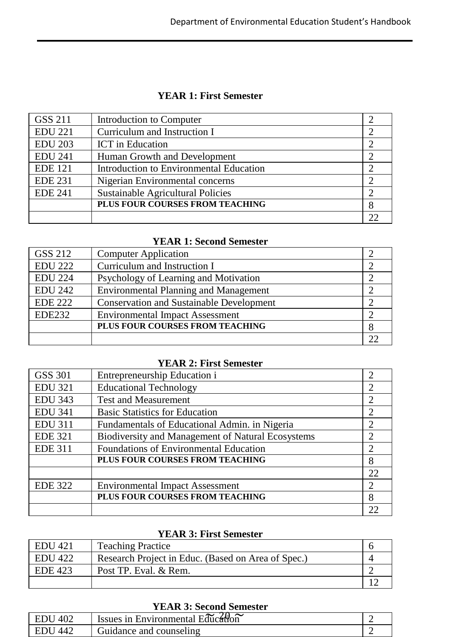#### **YEAR 1: First Semester**

| GSS 211        | Introduction to Computer                |   |
|----------------|-----------------------------------------|---|
| <b>EDU 221</b> | Curriculum and Instruction I            |   |
| <b>EDU 203</b> | <b>ICT</b> in Education                 |   |
| <b>EDU 241</b> | Human Growth and Development            |   |
| <b>EDE 121</b> | Introduction to Environmental Education |   |
| <b>EDE 231</b> | Nigerian Environmental concerns         |   |
| <b>EDE 241</b> | Sustainable Agricultural Policies       |   |
|                | PLUS FOUR COURSES FROM TEACHING         | 8 |
|                |                                         |   |

#### **YEAR 1: Second Semester**

| GSS 212        | <b>Computer Application</b>                     |  |
|----------------|-------------------------------------------------|--|
| <b>EDU 222</b> | Curriculum and Instruction I                    |  |
| <b>EDU 224</b> | Psychology of Learning and Motivation           |  |
| <b>EDU 242</b> | Environmental Planning and Management           |  |
| EDE 222        | <b>Conservation and Sustainable Development</b> |  |
| <b>EDE232</b>  | <b>Environmental Impact Assessment</b>          |  |
|                | PLUS FOUR COURSES FROM TEACHING                 |  |
|                |                                                 |  |

#### **YEAR 2: First Semester**

| GSS 301        | Entrepreneurship Education i                      | 2              |
|----------------|---------------------------------------------------|----------------|
| <b>EDU 321</b> | <b>Educational Technology</b>                     | 2              |
| <b>EDU 343</b> | <b>Test and Measurement</b>                       | 2              |
| <b>EDU 341</b> | <b>Basic Statistics for Education</b>             | $\mathfrak{D}$ |
| <b>EDU 311</b> | Fundamentals of Educational Admin. in Nigeria     | 2              |
| <b>EDE 321</b> | Biodiversity and Management of Natural Ecosystems | 2              |
| <b>EDE 311</b> | Foundations of Environmental Education            | 2              |
|                | PLUS FOUR COURSES FROM TEACHING                   | 8              |
|                |                                                   | 22             |
| <b>EDE 322</b> | <b>Environmental Impact Assessment</b>            | $\mathfrak{D}$ |
|                | PLUS FOUR COURSES FROM TEACHING                   | 8              |
|                |                                                   |                |

#### **YEAR 3: First Semester**

| EDU 421        | <b>Teaching Practice</b>                           |  |
|----------------|----------------------------------------------------|--|
| EDU 422        | Research Project in Educ. (Based on Area of Spec.) |  |
| <b>EDE 423</b> | Post TP. Eval. & Rem.                              |  |
|                |                                                    |  |

| <b>YEAR 3: Second Semester</b> |                                   |  |  |
|--------------------------------|-----------------------------------|--|--|
| EDU 402                        | Issues in Environmental Education |  |  |
| EDU 442                        | Guidance and counseling           |  |  |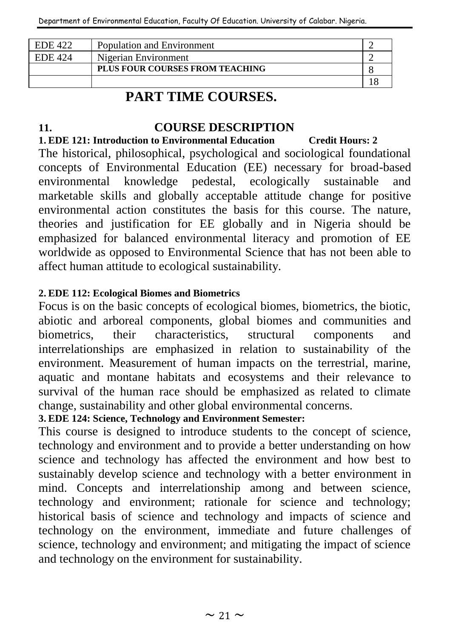| EDE 422 | Population and Environment             |  |
|---------|----------------------------------------|--|
| EDE 424 | Nigerian Environment                   |  |
|         | <b>PLUS FOUR COURSES FROM TEACHING</b> |  |
|         |                                        |  |

## **PART TIME COURSES.**

### **11. COURSE DESCRIPTION**

#### **1. EDE 121: Introduction to Environmental Education Credit Hours: 2**

The historical, philosophical, psychological and sociological foundational concepts of Environmental Education (EE) necessary for broad-based environmental knowledge pedestal, ecologically sustainable and marketable skills and globally acceptable attitude change for positive environmental action constitutes the basis for this course. The nature, theories and justification for EE globally and in Nigeria should be emphasized for balanced environmental literacy and promotion of EE worldwide as opposed to Environmental Science that has not been able to affect human attitude to ecological sustainability.

#### **2. EDE 112: Ecological Biomes and Biometrics**

Focus is on the basic concepts of ecological biomes, biometrics, the biotic, abiotic and arboreal components, global biomes and communities and biometrics, their characteristics, structural components and interrelationships are emphasized in relation to sustainability of the environment. Measurement of human impacts on the terrestrial, marine, aquatic and montane habitats and ecosystems and their relevance to survival of the human race should be emphasized as related to climate change, sustainability and other global environmental concerns.

### **3. EDE 124: Science, Technology and Environment Semester:**

This course is designed to introduce students to the concept of science, technology and environment and to provide a better understanding on how science and technology has affected the environment and how best to sustainably develop science and technology with a better environment in mind. Concepts and interrelationship among and between science, technology and environment; rationale for science and technology; historical basis of science and technology and impacts of science and technology on the environment, immediate and future challenges of science, technology and environment; and mitigating the impact of science and technology on the environment for sustainability.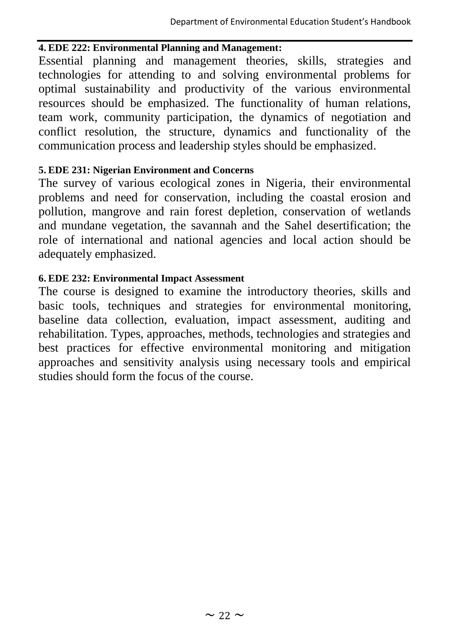#### **4. EDE 222: Environmental Planning and Management:**

Essential planning and management theories, skills, strategies and technologies for attending to and solving environmental problems for optimal sustainability and productivity of the various environmental resources should be emphasized. The functionality of human relations, team work, community participation, the dynamics of negotiation and conflict resolution, the structure, dynamics and functionality of the communication process and leadership styles should be emphasized.

#### **5. EDE 231: Nigerian Environment and Concerns**

The survey of various ecological zones in Nigeria, their environmental problems and need for conservation, including the coastal erosion and pollution, mangrove and rain forest depletion, conservation of wetlands and mundane vegetation, the savannah and the Sahel desertification; the role of international and national agencies and local action should be adequately emphasized.

#### **6. EDE 232: Environmental Impact Assessment**

The course is designed to examine the introductory theories, skills and basic tools, techniques and strategies for environmental monitoring, baseline data collection, evaluation, impact assessment, auditing and rehabilitation. Types, approaches, methods, technologies and strategies and best practices for effective environmental monitoring and mitigation approaches and sensitivity analysis using necessary tools and empirical studies should form the focus of the course.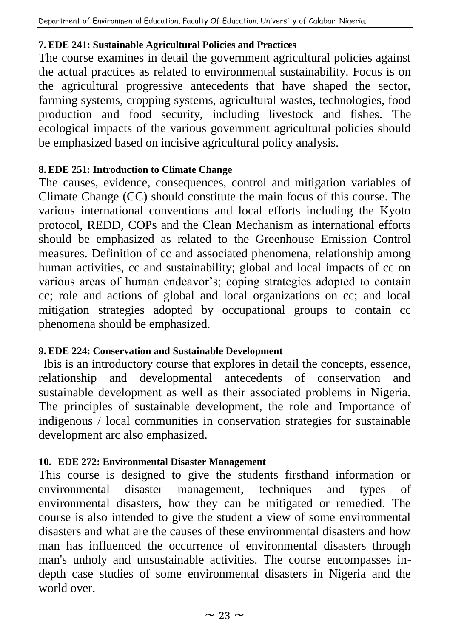#### **7. EDE 241: Sustainable Agricultural Policies and Practices**

The course examines in detail the government agricultural policies against the actual practices as related to environmental sustainability. Focus is on the agricultural progressive antecedents that have shaped the sector, farming systems, cropping systems, agricultural wastes, technologies, food production and food security, including livestock and fishes. The ecological impacts of the various government agricultural policies should be emphasized based on incisive agricultural policy analysis.

#### **8. EDE 251: Introduction to Climate Change**

The causes, evidence, consequences, control and mitigation variables of Climate Change (CC) should constitute the main focus of this course. The various international conventions and local efforts including the Kyoto protocol, REDD, COPs and the Clean Mechanism as international efforts should be emphasized as related to the Greenhouse Emission Control measures. Definition of cc and associated phenomena, relationship among human activities, cc and sustainability; global and local impacts of cc on various areas of human endeavor's; coping strategies adopted to contain cc; role and actions of global and local organizations on cc; and local mitigation strategies adopted by occupational groups to contain cc phenomena should be emphasized.

#### **9. EDE 224: Conservation and Sustainable Development**

Ibis is an introductory course that explores in detail the concepts, essence, relationship and developmental antecedents of conservation and sustainable development as well as their associated problems in Nigeria. The principles of sustainable development, the role and Importance of indigenous / local communities in conservation strategies for sustainable development arc also emphasized.

#### **10. EDE 272: Environmental Disaster Management**

This course is designed to give the students firsthand information or environmental disaster management, techniques and types of environmental disasters, how they can be mitigated or remedied. The course is also intended to give the student a view of some environmental disasters and what are the causes of these environmental disasters and how man has influenced the occurrence of environmental disasters through man's unholy and unsustainable activities. The course encompasses indepth case studies of some environmental disasters in Nigeria and the world over.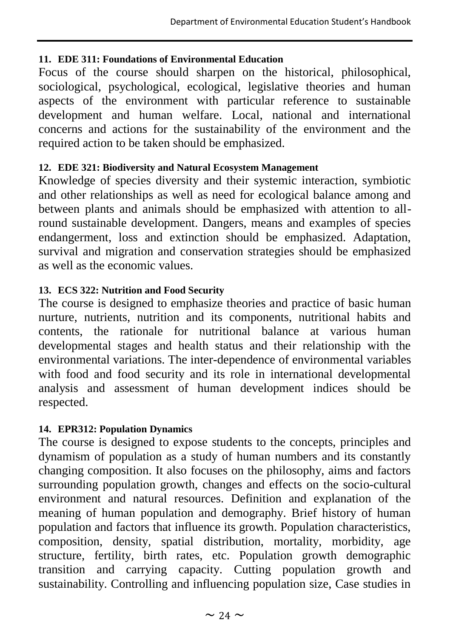#### **11. EDE 311: Foundations of Environmental Education**

Focus of the course should sharpen on the historical, philosophical, sociological, psychological, ecological, legislative theories and human aspects of the environment with particular reference to sustainable development and human welfare. Local, national and international concerns and actions for the sustainability of the environment and the required action to be taken should be emphasized.

### **12. EDE 321: Biodiversity and Natural Ecosystem Management**

Knowledge of species diversity and their systemic interaction, symbiotic and other relationships as well as need for ecological balance among and between plants and animals should be emphasized with attention to allround sustainable development. Dangers, means and examples of species endangerment, loss and extinction should be emphasized. Adaptation, survival and migration and conservation strategies should be emphasized as well as the economic values.

### **13. ECS 322: Nutrition and Food Security**

The course is designed to emphasize theories and practice of basic human nurture, nutrients, nutrition and its components, nutritional habits and contents, the rationale for nutritional balance at various human developmental stages and health status and their relationship with the environmental variations. The inter-dependence of environmental variables with food and food security and its role in international developmental analysis and assessment of human development indices should be respected.

#### **14. EPR312: Population Dynamics**

The course is designed to expose students to the concepts, principles and dynamism of population as a study of human numbers and its constantly changing composition. It also focuses on the philosophy, aims and factors surrounding population growth, changes and effects on the socio-cultural environment and natural resources. Definition and explanation of the meaning of human population and demography. Brief history of human population and factors that influence its growth. Population characteristics, composition, density, spatial distribution, mortality, morbidity, age structure, fertility, birth rates, etc. Population growth demographic transition and carrying capacity. Cutting population growth and sustainability. Controlling and influencing population size, Case studies in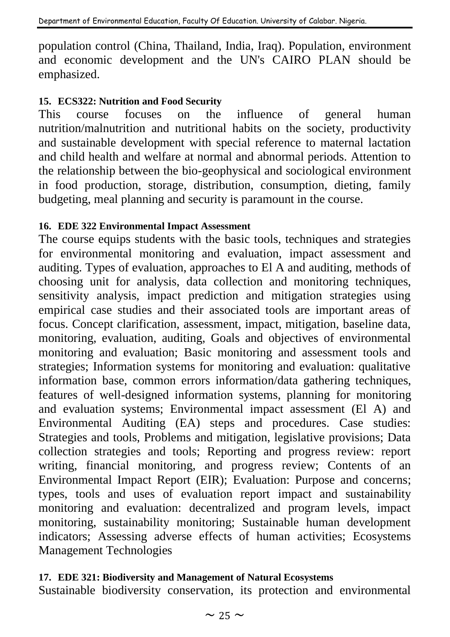population control (China, Thailand, India, Iraq). Population, environment and economic development and the UN's CAIRO PLAN should be emphasized.

#### **15. ECS322: Nutrition and Food Security**

This course focuses on the influence of general human nutrition/malnutrition and nutritional habits on the society, productivity and sustainable development with special reference to maternal lactation and child health and welfare at normal and abnormal periods. Attention to the relationship between the bio-geophysical and sociological environment in food production, storage, distribution, consumption, dieting, family budgeting, meal planning and security is paramount in the course.

#### **16. EDE 322 Environmental Impact Assessment**

The course equips students with the basic tools, techniques and strategies for environmental monitoring and evaluation, impact assessment and auditing. Types of evaluation, approaches to El A and auditing, methods of choosing unit for analysis, data collection and monitoring techniques, sensitivity analysis, impact prediction and mitigation strategies using empirical case studies and their associated tools are important areas of focus. Concept clarification, assessment, impact, mitigation, baseline data, monitoring, evaluation, auditing, Goals and objectives of environmental monitoring and evaluation; Basic monitoring and assessment tools and strategies; Information systems for monitoring and evaluation: qualitative information base, common errors information/data gathering techniques, features of well-designed information systems, planning for monitoring and evaluation systems; Environmental impact assessment (El A) and Environmental Auditing (EA) steps and procedures. Case studies: Strategies and tools, Problems and mitigation, legislative provisions; Data collection strategies and tools; Reporting and progress review: report writing, financial monitoring, and progress review; Contents of an Environmental Impact Report (EIR); Evaluation: Purpose and concerns; types, tools and uses of evaluation report impact and sustainability monitoring and evaluation: decentralized and program levels, impact monitoring, sustainability monitoring; Sustainable human development indicators; Assessing adverse effects of human activities; Ecosystems Management Technologies

#### **17. EDE 321: Biodiversity and Management of Natural Ecosystems**

Sustainable biodiversity conservation, its protection and environmental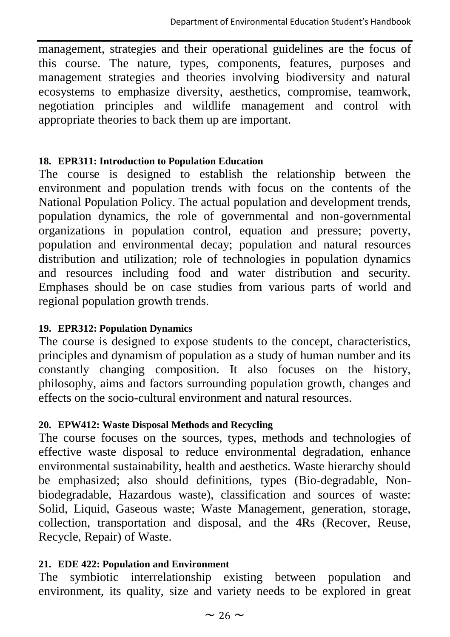management, strategies and their operational guidelines are the focus of this course. The nature, types, components, features, purposes and management strategies and theories involving biodiversity and natural ecosystems to emphasize diversity, aesthetics, compromise, teamwork, negotiation principles and wildlife management and control with appropriate theories to back them up are important.

#### **18. EPR311: Introduction to Population Education**

The course is designed to establish the relationship between the environment and population trends with focus on the contents of the National Population Policy. The actual population and development trends, population dynamics, the role of governmental and non-governmental organizations in population control, equation and pressure; poverty, population and environmental decay; population and natural resources distribution and utilization; role of technologies in population dynamics and resources including food and water distribution and security. Emphases should be on case studies from various parts of world and regional population growth trends.

#### **19. EPR312: Population Dynamics**

The course is designed to expose students to the concept, characteristics, principles and dynamism of population as a study of human number and its constantly changing composition. It also focuses on the history, philosophy, aims and factors surrounding population growth, changes and effects on the socio-cultural environment and natural resources.

#### **20. EPW412: Waste Disposal Methods and Recycling**

The course focuses on the sources, types, methods and technologies of effective waste disposal to reduce environmental degradation, enhance environmental sustainability, health and aesthetics. Waste hierarchy should be emphasized; also should definitions, types (Bio-degradable, Nonbiodegradable, Hazardous waste), classification and sources of waste: Solid, Liquid, Gaseous waste; Waste Management, generation, storage, collection, transportation and disposal, and the 4Rs (Recover, Reuse, Recycle, Repair) of Waste.

#### **21. EDE 422: Population and Environment**

The symbiotic interrelationship existing between population and environment, its quality, size and variety needs to be explored in great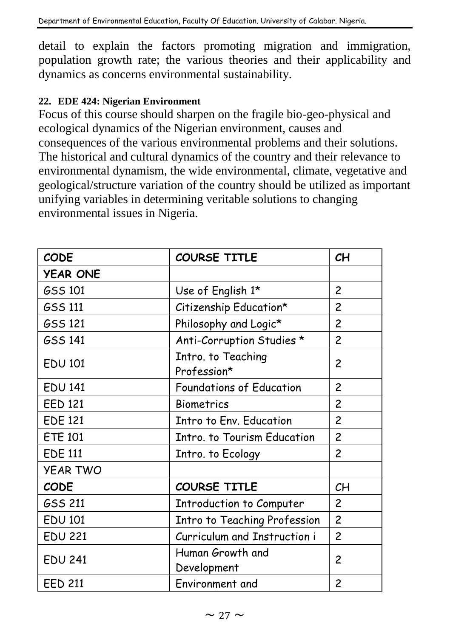detail to explain the factors promoting migration and immigration, population growth rate; the various theories and their applicability and dynamics as concerns environmental sustainability.

#### **22. EDE 424: Nigerian Environment**

Focus of this course should sharpen on the fragile bio-geo-physical and ecological dynamics of the Nigerian environment, causes and consequences of the various environmental problems and their solutions. The historical and cultural dynamics of the country and their relevance to environmental dynamism, the wide environmental, climate, vegetative and geological/structure variation of the country should be utilized as important unifying variables in determining veritable solutions to changing environmental issues in Nigeria.

| <b>CODE</b>     | <b>COURSE TITLE</b>               | CH             |
|-----------------|-----------------------------------|----------------|
| <b>YEAR ONE</b> |                                   |                |
| GSS 101         | Use of English 1*                 | 2              |
| GSS 111         | Citizenship Education*            | $\overline{c}$ |
| <b>GSS 121</b>  | Philosophy and Logic*             | $\overline{c}$ |
| <b>GSS 141</b>  | Anti-Corruption Studies *         | $\overline{c}$ |
| <b>EDU 101</b>  | Intro. to Teaching<br>Profession* | 2              |
| <b>EDU 141</b>  | <b>Foundations of Education</b>   | $\overline{c}$ |
| <b>EED 121</b>  | <b>Biometrics</b>                 | $\overline{c}$ |
| <b>EDE 121</b>  | <b>Intro to Env. Education</b>    | $\overline{c}$ |
| <b>ETE 101</b>  | Intro. to Tourism Education       | $\overline{c}$ |
| <b>EDE 111</b>  | Intro. to Ecology                 | $\overline{c}$ |
| <b>YEAR TWO</b> |                                   |                |
| <b>CODE</b>     | <b>COURSE TITLE</b>               | CH             |
| GSS 211         | Introduction to Computer          | $\overline{c}$ |
| <b>EDU 101</b>  | Intro to Teaching Profession      | $\overline{c}$ |
| <b>EDU 221</b>  | Curriculum and Instruction i      | $\mathcal{P}$  |
| <b>EDU 241</b>  | Human Growth and<br>Development   | 2              |
| <b>EED 211</b>  | Environment and                   | 2              |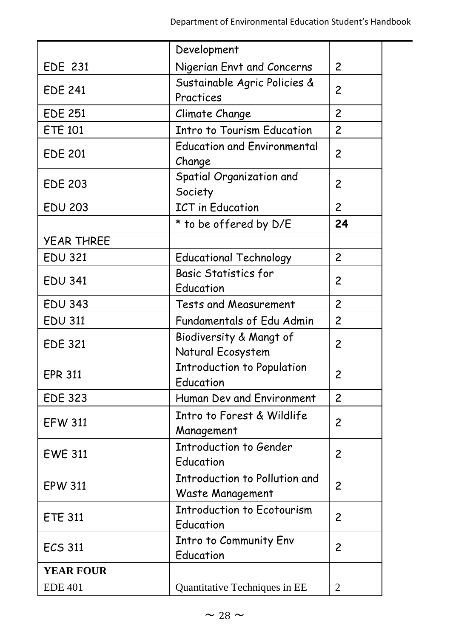|                                              | Development                                       |                |
|----------------------------------------------|---------------------------------------------------|----------------|
| <b>EDE 231</b><br>Nigerian Envt and Concerns |                                                   | $\overline{c}$ |
| <b>EDE 241</b>                               | Sustainable Agric Policies &<br>Practices         | 2              |
| <b>EDE 251</b>                               | Climate Change                                    | $\overline{c}$ |
| <b>ETE 101</b>                               | <b>Intro to Tourism Education</b>                 | $\overline{c}$ |
| <b>EDE 201</b>                               | <b>Education and Environmental</b><br>Change      | $\overline{c}$ |
| <b>EDE 203</b>                               | Spatial Organization and<br>Society               | 2              |
| <b>EDU 203</b>                               | <b>ICT</b> in Education                           | $\overline{c}$ |
|                                              | * to be offered by D/E                            | 24             |
| <b>YEAR THREE</b>                            |                                                   |                |
| <b>EDU 321</b>                               | <b>Educational Technology</b>                     | $\overline{c}$ |
| <b>EDU 341</b>                               | <b>Basic Statistics for</b><br>Education          | 2              |
| <b>EDU 343</b><br>Tests and Measurement      |                                                   | $\overline{c}$ |
| <b>EDU 311</b>                               | Fundamentals of Edu Admin                         | $\overline{c}$ |
| <b>EDE 321</b>                               | Biodiversity & Mangt of<br>Natural Ecosystem      | $\overline{c}$ |
| <b>EPR 311</b>                               | <b>Introduction to Population</b><br>Education    | $\overline{c}$ |
| <b>EDE 323</b>                               | Human Dev and Environment                         | $\overline{c}$ |
| <b>EFW 311</b>                               | Intro to Forest & Wildlife<br>Management          | 2              |
| <b>EWE 311</b>                               | Introduction to Gender<br>Education               | 2              |
| <b>EPW 311</b>                               | Introduction to Pollution and<br>Waste Management | $\overline{c}$ |
| <b>ETE 311</b>                               | <b>Introduction to Ecotourism</b><br>Education    | $\overline{c}$ |
| <b>ECS 311</b>                               | Intro to Community Env<br>Education               | 2              |
| <b>YEAR FOUR</b>                             |                                                   |                |
| <b>EDE 401</b>                               | Quantitative Techniques in EE                     | $\mathfrak{D}$ |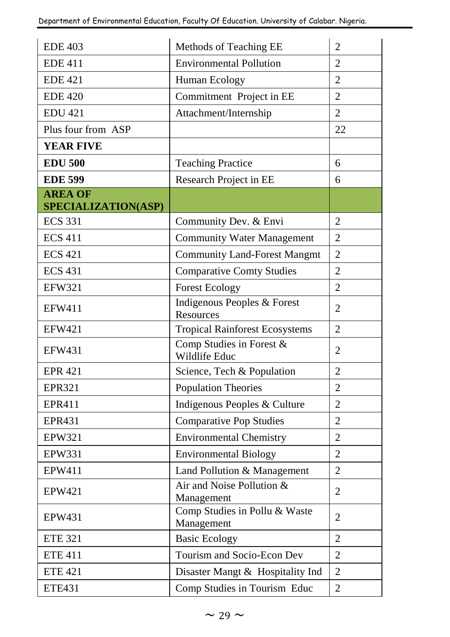| <b>EDE 403</b><br>Methods of Teaching EE |                                                  | $\overline{c}$<br>$\overline{2}$ |
|------------------------------------------|--------------------------------------------------|----------------------------------|
|                                          | <b>EDE 411</b><br><b>Environmental Pollution</b> |                                  |
| <b>EDE 421</b><br>Human Ecology          |                                                  | $\overline{2}$                   |
| <b>EDE 420</b>                           | Commitment Project in EE                         | $\overline{2}$                   |
| <b>EDU 421</b>                           | Attachment/Internship                            | $\overline{2}$                   |
| Plus four from ASP                       |                                                  | 22                               |
| <b>YEAR FIVE</b>                         |                                                  |                                  |
| <b>EDU 500</b>                           | <b>Teaching Practice</b>                         | 6                                |
| <b>EDE 599</b>                           | Research Project in EE                           | 6                                |
| <b>AREA OF</b>                           |                                                  |                                  |
| SPECIALIZATION(ASP)                      |                                                  |                                  |
| <b>ECS 331</b>                           | Community Dev. & Envi                            | $\overline{2}$                   |
| <b>ECS 411</b>                           | <b>Community Water Management</b>                | $\overline{2}$                   |
| <b>ECS 421</b>                           | <b>Community Land-Forest Mangmt</b>              | $\overline{\mathcal{L}}$         |
| <b>ECS 431</b>                           | <b>Comparative Comty Studies</b>                 | $\overline{2}$                   |
| <b>EFW321</b>                            | <b>Forest Ecology</b>                            | $\overline{2}$                   |
| <b>EFW411</b>                            | Indigenous Peoples & Forest<br>Resources         | $\overline{2}$                   |
| <b>EFW421</b>                            | <b>Tropical Rainforest Ecosystems</b>            | $\overline{2}$                   |
| <b>EFW431</b>                            | Comp Studies in Forest &<br>Wildlife Educ        | $\mathfrak{D}$                   |
| <b>EPR 421</b>                           | Science, Tech & Population                       | $\overline{2}$                   |
| <b>EPR321</b>                            | <b>Population Theories</b>                       | $\overline{2}$                   |
| EPR411                                   | Indigenous Peoples & Culture                     | $\overline{c}$                   |
| <b>EPR431</b>                            | <b>Comparative Pop Studies</b>                   | $\overline{2}$                   |
| <b>EPW321</b>                            | <b>Environmental Chemistry</b>                   | $\overline{2}$                   |
| <b>EPW331</b>                            | <b>Environmental Biology</b>                     | $\overline{2}$                   |
| EPW411                                   | Land Pollution & Management                      | $\overline{2}$                   |
| EPW421                                   | Air and Noise Pollution &<br>Management          | $\overline{2}$                   |
| EPW431                                   | Comp Studies in Pollu & Waste<br>Management      | $\overline{2}$                   |
| <b>ETE 321</b>                           | <b>Basic Ecology</b>                             | $\overline{2}$                   |
| <b>ETE 411</b>                           | Tourism and Socio-Econ Dev                       | $\overline{2}$                   |
| <b>ETE 421</b>                           | Disaster Mangt & Hospitality Ind                 | $\overline{2}$                   |
| <b>ETE431</b>                            | Comp Studies in Tourism Educ                     | $\overline{2}$                   |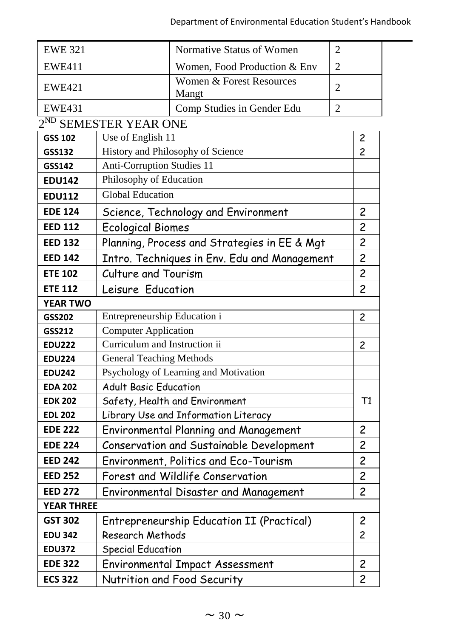| <b>EWE 321</b>                                    |                                           | Normative Status of Women                    | $\overline{c}$ |    |
|---------------------------------------------------|-------------------------------------------|----------------------------------------------|----------------|----|
| <b>EWE411</b>                                     |                                           | Women, Food Production & Env                 | 2              |    |
| <b>EWE421</b>                                     |                                           | Women & Forest Resources<br>Mangt            | 2              |    |
| <b>EWE431</b>                                     |                                           | Comp Studies in Gender Edu                   | $\overline{2}$ |    |
|                                                   | 2 <sup>ND</sup> SEMESTER YEAR ONE         |                                              |                |    |
| GSS 102                                           | Use of English 11                         |                                              | 2              |    |
| GSS132                                            |                                           | History and Philosophy of Science            | $\overline{c}$ |    |
| GSS142                                            | <b>Anti-Corruption Studies 11</b>         |                                              |                |    |
| <b>EDU142</b>                                     | Philosophy of Education                   |                                              |                |    |
| <b>EDU112</b>                                     | <b>Global Education</b>                   |                                              |                |    |
| <b>EDE 124</b>                                    |                                           | Science, Technology and Environment          | $\overline{c}$ |    |
| <b>EED 112</b>                                    | <b>Ecological Biomes</b>                  |                                              | $\overline{c}$ |    |
| <b>EED 132</b>                                    |                                           | Planning, Process and Strategies in EE & Mgt | $\overline{c}$ |    |
| <b>EED 142</b>                                    |                                           | Intro. Techniques in Env. Edu and Management | $\overline{c}$ |    |
| <b>ETE 102</b>                                    | Culture and Tourism                       |                                              | $\overline{c}$ |    |
| <b>ETE 112</b>                                    | Leisure Education                         |                                              | $\overline{c}$ |    |
| <b>YEAR TWO</b>                                   |                                           |                                              |                |    |
| Entrepreneurship Education i<br>GSS202            |                                           |                                              | $\overline{c}$ |    |
| GSS212                                            | <b>Computer Application</b>               |                                              |                |    |
| <b>EDU222</b>                                     | Curriculum and Instruction ii             |                                              | 2              |    |
| <b>General Teaching Methods</b><br><b>EDU224</b>  |                                           |                                              |                |    |
| <b>EDU242</b>                                     | Psychology of Learning and Motivation     |                                              |                |    |
| <b>Adult Basic Education</b><br><b>EDA 202</b>    |                                           |                                              |                |    |
| <b>EDK 202</b>                                    |                                           | Safety, Health and Environment               |                | Τ1 |
| <b>EDL 202</b>                                    |                                           | Library Use and Information Literacy         |                |    |
| <b>EDE 222</b>                                    |                                           | Environmental Planning and Management        | $\overline{c}$ |    |
| <b>EDE 224</b>                                    | Conservation and Sustainable Development  |                                              | $\overline{c}$ |    |
| <b>EED 242</b>                                    | Environment, Politics and Eco-Tourism     |                                              | $\overline{c}$ |    |
| <b>EED 252</b>                                    | Forest and Wildlife Conservation          |                                              | $\overline{c}$ |    |
| <b>EED 272</b>                                    |                                           | Environmental Disaster and Management        | $\overline{c}$ |    |
| <b>YEAR THREE</b>                                 |                                           |                                              |                |    |
| <b>GST 302</b>                                    | Entrepreneurship Education II (Practical) |                                              | $\overline{c}$ |    |
| <b>EDU 342</b>                                    | Research Methods                          |                                              | $\overline{c}$ |    |
| <b>EDU372</b>                                     | <b>Special Education</b>                  |                                              |                |    |
| <b>EDE 322</b><br>Environmental Impact Assessment |                                           | 2                                            |                |    |
| Nutrition and Food Security<br><b>ECS 322</b>     |                                           |                                              | $\overline{2}$ |    |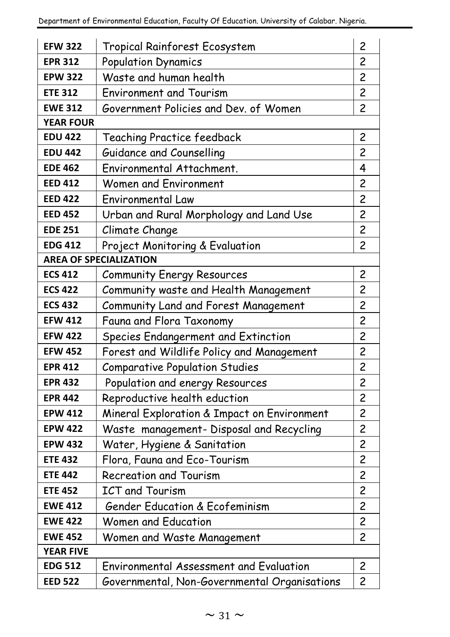| <b>EFW 322</b>                                                              | 2<br>Tropical Rainforest Ecosystem           |                         |  |
|-----------------------------------------------------------------------------|----------------------------------------------|-------------------------|--|
| <b>EPR 312</b>                                                              | <b>Population Dynamics</b>                   |                         |  |
| <b>EPW 322</b>                                                              | Waste and human health                       |                         |  |
| <b>ETE 312</b>                                                              | <b>Environment and Tourism</b>               | $\overline{c}$          |  |
| <b>EWE 312</b>                                                              | Government Policies and Dev. of Women        | 2                       |  |
| <b>YEAR FOUR</b>                                                            |                                              |                         |  |
| <b>EDU 422</b>                                                              | Teaching Practice feedback                   | $\overline{c}$          |  |
| <b>EDU 442</b>                                                              | Guidance and Counselling                     | $\overline{c}$          |  |
| <b>EDE 462</b>                                                              | Environmental Attachment.                    | 4                       |  |
| <b>EED 412</b>                                                              | Women and Environment                        | $\overline{c}$          |  |
| <b>EED 422</b>                                                              | Environmental Law                            | $\overline{c}$          |  |
| <b>EED 452</b>                                                              | Urban and Rural Morphology and Land Use      | $\overline{c}$          |  |
| <b>EDE 251</b>                                                              | Climate Change                               | $\overline{c}$          |  |
| <b>EDG 412</b>                                                              | Project Monitoring & Evaluation              | $\overline{c}$          |  |
|                                                                             | <b>AREA OF SPECIALIZATION</b>                |                         |  |
| <b>ECS 412</b>                                                              | <b>Community Energy Resources</b>            | $\overline{c}$          |  |
| <b>ECS 422</b>                                                              | Community waste and Health Management        | $\overline{c}$          |  |
| <b>ECS 432</b><br>Community Land and Forest Management                      |                                              | $\overline{\mathbf{c}}$ |  |
| <b>EFW 412</b>                                                              | Fauna and Flora Taxonomy                     | $\overline{\mathbf{c}}$ |  |
| <b>EFW 422</b>                                                              | Species Endangerment and Extinction          | $\overline{\mathbf{c}}$ |  |
| <b>EFW 452</b>                                                              | Forest and Wildlife Policy and Management    | $\overline{\mathbf{c}}$ |  |
| <b>EPR 412</b>                                                              | <b>Comparative Population Studies</b>        | $\overline{\mathbf{c}}$ |  |
| <b>EPR 432</b>                                                              | Population and energy Resources              | $\overline{c}$          |  |
| <b>EPR 442</b>                                                              | Reproductive health eduction                 | $\overline{c}$          |  |
| <b>EPW 412</b>                                                              | Mineral Exploration & Impact on Environment  | $\overline{c}$          |  |
| <b>EPW 422</b>                                                              | Waste management- Disposal and Recycling     | $\overline{c}$          |  |
| <b>EPW 432</b>                                                              | Water, Hygiene & Sanitation                  | $\overline{c}$          |  |
| <b>ETE 432</b>                                                              | Flora, Fauna and Eco-Tourism                 | $\overline{c}$          |  |
| <b>ETE 442</b>                                                              | Recreation and Tourism                       | $\overline{\mathsf{c}}$ |  |
| <b>ETE 452</b>                                                              | <b>ICT and Tourism</b>                       | $\overline{\mathbf{c}}$ |  |
| <b>EWE 412</b>                                                              | <b>Gender Education &amp; Ecofeminism</b>    | $\overline{\mathbf{c}}$ |  |
| <b>EWE 422</b>                                                              | Women and Education                          | 2                       |  |
| <b>EWE 452</b>                                                              | Women and Waste Management                   | $\overline{c}$          |  |
| <b>YEAR FIVE</b>                                                            |                                              |                         |  |
| Environmental Assessment and Evaluation<br>$\overline{c}$<br><b>EDG 512</b> |                                              |                         |  |
| <b>EED 522</b>                                                              | Governmental, Non-Governmental Organisations | $\overline{c}$          |  |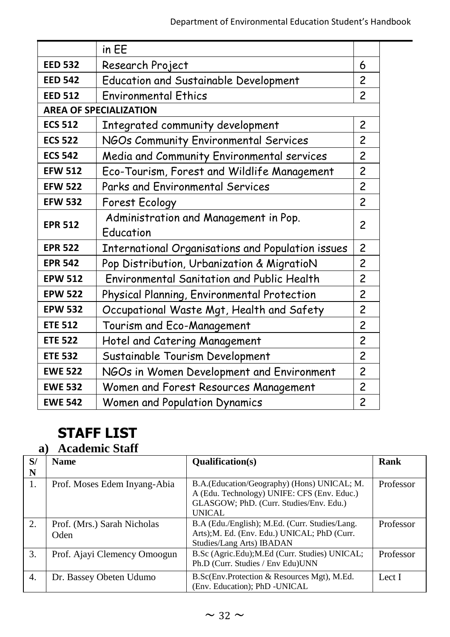|                                                                     | in EE                                              |                |
|---------------------------------------------------------------------|----------------------------------------------------|----------------|
| <b>EED 532</b>                                                      | Research Project                                   | 6              |
| <b>EED 542</b>                                                      | <b>Education and Sustainable Development</b>       | $\overline{c}$ |
| <b>EED 512</b>                                                      | <b>Environmental Ethics</b>                        | $\overline{c}$ |
|                                                                     | <b>AREA OF SPECIALIZATION</b>                      |                |
| <b>ECS 512</b>                                                      | Integrated community development                   | $\overline{c}$ |
| <b>ECS 522</b>                                                      | NGOs Community Environmental Services              | 2              |
| <b>ECS 542</b>                                                      | Media and Community Environmental services         | $\overline{c}$ |
| <b>EFW 512</b>                                                      | Eco-Tourism, Forest and Wildlife Management        | $\overline{c}$ |
| <b>EFW 522</b>                                                      | Parks and Environmental Services                   | $\overline{c}$ |
| <b>EFW 532</b>                                                      | Forest Ecology                                     | $\overline{c}$ |
| <b>EPR 512</b>                                                      | Administration and Management in Pop.<br>Education | $\overline{c}$ |
| International Organisations and Population issues<br><b>EPR 522</b> |                                                    | $\overline{c}$ |
| <b>EPR 542</b>                                                      | Pop Distribution, Urbanization & MigratioN         | 2              |
| <b>EPW 512</b>                                                      | Environmental Sanitation and Public Health         | $\overline{c}$ |
| <b>EPW 522</b>                                                      | Physical Planning, Environmental Protection        | $\overline{c}$ |
| <b>EPW 532</b>                                                      | Occupational Waste Mgt, Health and Safety          | $\overline{c}$ |
| <b>ETE 512</b>                                                      | Tourism and Eco-Management                         | $\overline{c}$ |
| <b>ETE 522</b>                                                      | Hotel and Catering Management                      | $\overline{c}$ |
| <b>ETE 532</b>                                                      | Sustainable Tourism Development                    | $\overline{c}$ |
| <b>EWE 522</b>                                                      | NGOs in Women Development and Environment          | $\overline{c}$ |
| <b>EWE 532</b>                                                      | Women and Forest Resources Management              | $\overline{c}$ |
| <b>EWE 542</b>                                                      | Women and Population Dynamics                      | $\overline{c}$ |

## **STAFF LIST**

## **a) Academic Staff**

| S/ | <b>Name</b>                         | <b>Oualification(s)</b>                                                                                                                                 | Rank      |
|----|-------------------------------------|---------------------------------------------------------------------------------------------------------------------------------------------------------|-----------|
| N  |                                     |                                                                                                                                                         |           |
| 1. | Prof. Moses Edem Inyang-Abia        | B.A. (Education/Geography) (Hons) UNICAL; M.<br>A (Edu. Technology) UNIFE: CFS (Env. Educ.)<br>GLASGOW; PhD. (Curr. Studies/Env. Edu.)<br><b>UNICAL</b> | Professor |
| 2. | Prof. (Mrs.) Sarah Nicholas<br>Oden | B.A (Edu./English); M.Ed. (Curr. Studies/Lang.)<br>Arts); M. Ed. (Env. Edu.) UNICAL; PhD (Curr.<br>Studies/Lang Arts) IBADAN                            | Professor |
| 3. | Prof. Ajayi Clemency Omoogun        | B.Sc (Agric.Edu); M.Ed (Curr. Studies) UNICAL;<br>Ph.D (Curr. Studies / Env Edu) UNN                                                                    | Professor |
| 4. | Dr. Bassey Obeten Udumo             | B.Sc(Env.Protection & Resources Mgt), M.Ed.<br>Env. Education); PhD -UNICAL                                                                             | Lect I    |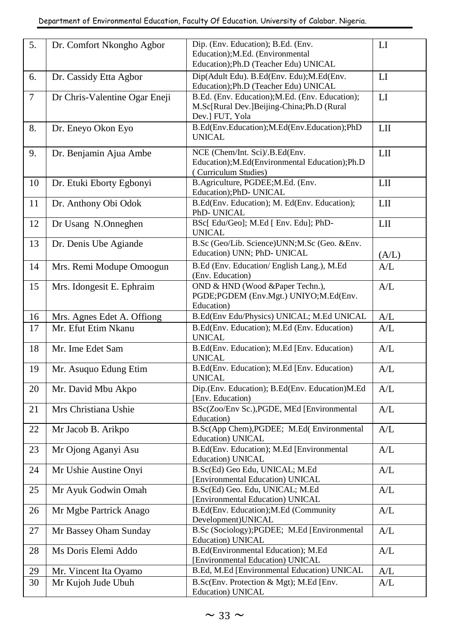| 5.     | Dr. Comfort Nkongho Agbor     | Dip. (Env. Education); B.Ed. (Env.              | ${\rm LI}$              |
|--------|-------------------------------|-------------------------------------------------|-------------------------|
|        |                               | Education); M.Ed. (Environmental                |                         |
|        |                               | Education); Ph.D (Teacher Edu) UNICAL           |                         |
| 6.     | Dr. Cassidy Etta Agbor        | Dip(Adult Edu). B.Ed(Env. Edu); M.Ed(Env.       | LI                      |
|        |                               | Education); Ph.D (Teacher Edu) UNICAL           |                         |
| $\tau$ | Dr Chris-Valentine Ogar Eneji | B.Ed. (Env. Education); M.Ed. (Env. Education); | LI                      |
|        |                               | M.Sc[Rural Dev.]Beijing-China;Ph.D (Rural       |                         |
|        |                               | Dev.] FUT, Yola                                 |                         |
| 8.     | Dr. Eneyo Okon Eyo            | B.Ed(Env.Education);M.Ed(Env.Education);PhD     | LII                     |
|        |                               | <b>UNICAL</b>                                   |                         |
|        |                               |                                                 |                         |
| 9.     | Dr. Benjamin Ajua Ambe        | NCE (Chem/Int. Sci)/.B.Ed(Env.                  | LII                     |
|        |                               | Education); M.Ed(Environmental Education); Ph.D |                         |
|        |                               | (Curriculum Studies)                            |                         |
| 10     | Dr. Etuki Eborty Egbonyi      | B.Agriculture, PGDEE;M.Ed. (Env.                | LII                     |
|        |                               | Education);PhD- UNICAL                          |                         |
| 11     | Dr. Anthony Obi Odok          | B.Ed(Env. Education); M. Ed(Env. Education);    | LII                     |
|        |                               | PhD- UNICAL                                     |                         |
| 12     | Dr Usang N.Onneghen           | BSc[ Edu/Geo]; M.Ed [ Env. Edu]; PhD-           | LII                     |
|        |                               | UNICAL                                          |                         |
| 13     | Dr. Denis Ube Agiande         | B.Sc (Geo/Lib. Science)UNN;M.Sc (Geo. &Env.     |                         |
|        |                               | Education) UNN; PhD- UNICAL                     | (A/L)                   |
| 14     | Mrs. Remi Modupe Omoogun      | B.Ed (Env. Education/English Lang.), M.Ed       | A/L                     |
|        |                               | (Env. Education)                                |                         |
| 15     | Mrs. Idongesit E. Ephraim     | OND & HND (Wood &Paper Techn.),                 | A/L                     |
|        |                               | PGDE;PGDEM (Env.Mgt.) UNIYO;M.Ed(Env.           |                         |
|        |                               | Education)                                      |                         |
| 16     | Mrs. Agnes Edet A. Offiong    | B.Ed(Env Edu/Physics) UNICAL; M.Ed UNICAL       | A/L                     |
| 17     | Mr. Efut Etim Nkanu           | B.Ed(Env. Education); M.Ed (Env. Education)     | A/L                     |
|        |                               | <b>UNICAL</b>                                   |                         |
| 18     | Mr. Ime Edet Sam              | B.Ed(Env. Education); M.Ed [Env. Education)     | A/L                     |
|        |                               | <b>UNICAL</b>                                   |                         |
| 19     | Mr. Asuquo Edung Etim         | B.Ed(Env. Education); M.Ed [Env. Education)     | $\mathbf{A}/\mathbf{L}$ |
|        |                               | <b>UNICAL</b>                                   |                         |
| 20     | Mr. David Mbu Akpo            | Dip.(Env. Education); B.Ed(Env. Education)M.Ed  | $\mathbf{A}/\mathbf{L}$ |
|        |                               | [Env. Education]                                |                         |
| 21     | Mrs Christiana Ushie          | BSc(Zoo/Env Sc.), PGDE, MEd [Environmental      | A/L                     |
|        |                               | Education)                                      |                         |
| 22     | Mr Jacob B. Arikpo            | B.Sc(App Chem), PGDEE; M.Ed(Environmental       | A/L                     |
|        |                               | Education) UNICAL                               |                         |
| 23     | Mr Ojong Aganyi Asu           | B.Ed(Env. Education); M.Ed [Environmental       | A/L                     |
|        |                               | Education) UNICAL                               |                         |
| 24     | Mr Ushie Austine Onyi         | B.Sc(Ed) Geo Edu, UNICAL; M.Ed                  | A/L                     |
|        |                               | [Environmental Education) UNICAL                |                         |
| 25     | Mr Ayuk Godwin Omah           | B.Sc(Ed) Geo. Edu, UNICAL; M.Ed                 | A/L                     |
|        |                               | [Environmental Education) UNICAL                |                         |
| 26     | Mr Mgbe Partrick Anago        | B.Ed(Env. Education); M.Ed (Community           | A/L                     |
|        |                               | Development) UNICAL                             |                         |
| 27     | Mr Bassey Oham Sunday         | B.Sc (Sociology); PGDEE; M.Ed [Environmental    | A/L                     |
|        |                               | Education) UNICAL                               |                         |
| 28     | Ms Doris Elemi Addo           | B.Ed(Environmental Education); M.Ed             | A/L                     |
|        |                               | [Environmental Education) UNICAL                |                         |
| 29     | Mr. Vincent Ita Oyamo         | B.Ed, M.Ed [Environmental Education) UNICAL     | A/L                     |
| 30     | Mr Kujoh Jude Ubuh            | B.Sc(Env. Protection & Mgt); M.Ed [Env.         | A/L                     |
|        |                               | Education) UNICAL                               |                         |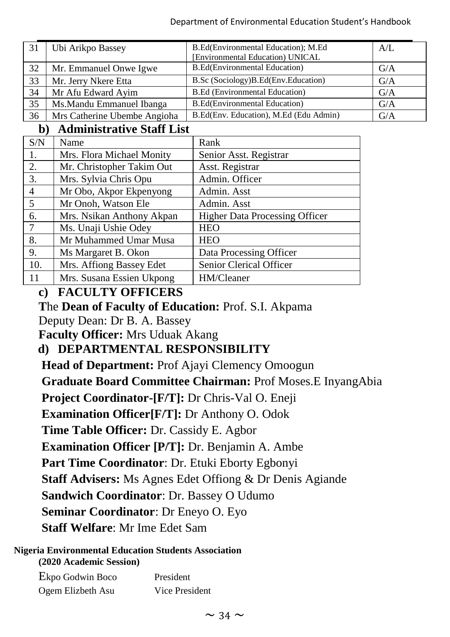| 31 | Ubi Arikpo Bassey            | B.Ed(Environmental Education); M.Ed    | A/I |
|----|------------------------------|----------------------------------------|-----|
|    |                              | [Environmental Education) UNICAL       |     |
| 32 | Mr. Emmanuel Onwe Igwe       | B.Ed(Environmental Education)          | G/A |
| 33 | Mr. Jerry Nkere Etta         | B.Sc (Sociology)B.Ed(Env.Education)    | G/A |
| 34 | Mr Afu Edward Ayim           | <b>B.Ed</b> (Environmental Education)  | G/A |
| 35 | Ms. Mandu Emmanuel Ibanga    | <b>B.Ed</b> (Environmental Education)  | G/A |
| 36 | Mrs Catherine Ubembe Angioha | B.Ed(Env. Education), M.Ed (Edu Admin) | G/A |

### **b) Administrative Staff List**

| S/N            | Name                      | Rank                                  |
|----------------|---------------------------|---------------------------------------|
| 1.             | Mrs. Flora Michael Monity | Senior Asst. Registrar                |
| 2.             | Mr. Christopher Takim Out | Asst. Registrar                       |
| 3.             | Mrs. Sylvia Chris Opu     | Admin. Officer                        |
| $\overline{4}$ | Mr Obo, Akpor Ekpenyong   | Admin. Asst                           |
| -5             | Mr Onoh, Watson Ele       | Admin. Asst                           |
| 6.             | Mrs. Nsikan Anthony Akpan | <b>Higher Data Processing Officer</b> |
| $\overline{7}$ | Ms. Unaji Ushie Odey      | <b>HEO</b>                            |
| 8.             | Mr Muhammed Umar Musa     | <b>HEO</b>                            |
| 9.             | Ms Margaret B. Okon       | Data Processing Officer               |
| 10.            | Mrs. Affiong Bassey Edet  | Senior Clerical Officer               |
| 11             | Mrs. Susana Essien Ukpong | HM/Cleaner                            |

## **c) FACULTY OFFICERS**

**T**he **Dean of Faculty of Education:** Prof. S.I. Akpama Deputy Dean: Dr B. A. Bassey **Faculty Officer:** Mrs Uduak Akang

## **d) DEPARTMENTAL RESPONSIBILITY**

**Head of Department: Prof Ajayi Clemency Omoogun Graduate Board Committee Chairman:** Prof Moses.E InyangAbia **Project Coordinator-[F/T]:** Dr Chris-Val O. Eneji **Examination Officer[F/T]:** Dr Anthony O. Odok **Time Table Officer:** Dr. Cassidy E. Agbor **Examination Officer [P/T]:** Dr. Benjamin A. Ambe **Part Time Coordinator**: Dr. Etuki Eborty Egbonyi **Staff Advisers:** Ms Agnes Edet Offiong & Dr Denis Agiande **Sandwich Coordinator**: Dr. Bassey O Udumo **Seminar Coordinator**: Dr Eneyo O. Eyo **Staff Welfare**: Mr Ime Edet Sam

#### **Nigeria Environmental Education Students Association (2020 Academic Session)**

| Ekpo Godwin Boco  | President      |
|-------------------|----------------|
| Ogem Elizbeth Asu | Vice President |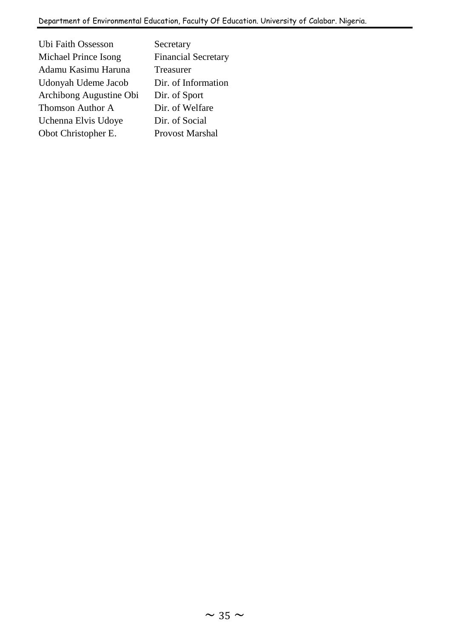| Ubi Faith Ossesson      | Secretary                  |
|-------------------------|----------------------------|
| Michael Prince Isong    | <b>Financial Secretary</b> |
| Adamu Kasimu Haruna     | Treasurer                  |
| Udonyah Udeme Jacob     | Dir. of Information        |
| Archibong Augustine Obi | Dir. of Sport              |
| Thomson Author A        | Dir. of Welfare            |
| Uchenna Elvis Udoye     | Dir. of Social             |
| Obot Christopher E.     | <b>Provost Marshal</b>     |
|                         |                            |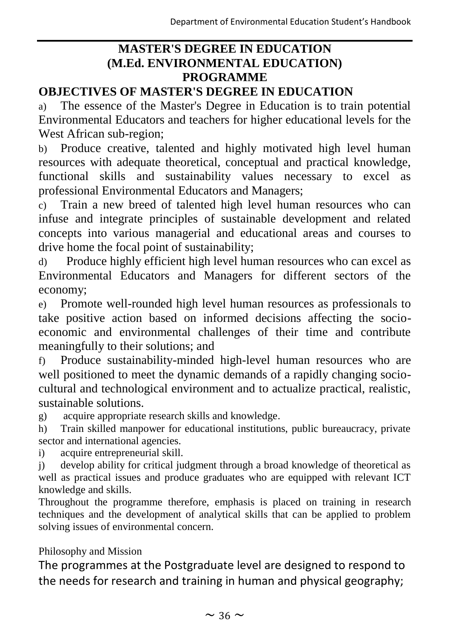## **MASTER'S DEGREE IN EDUCATION (M.Ed. ENVIRONMENTAL EDUCATION) PROGRAMME**

## **OBJECTIVES OF MASTER'S DEGREE IN EDUCATION**

a) The essence of the Master's Degree in Education is to train potential Environmental Educators and teachers for higher educational levels for the West African sub-region;

b) Produce creative, talented and highly motivated high level human resources with adequate theoretical, conceptual and practical knowledge, functional skills and sustainability values necessary to excel as professional Environmental Educators and Managers;

c) Train a new breed of talented high level human resources who can infuse and integrate principles of sustainable development and related concepts into various managerial and educational areas and courses to drive home the focal point of sustainability;

d) Produce highly efficient high level human resources who can excel as Environmental Educators and Managers for different sectors of the economy;

e) Promote well-rounded high level human resources as professionals to take positive action based on informed decisions affecting the socioeconomic and environmental challenges of their time and contribute meaningfully to their solutions; and

f) Produce sustainability-minded high-level human resources who are well positioned to meet the dynamic demands of a rapidly changing sociocultural and technological environment and to actualize practical, realistic, sustainable solutions.

g) acquire appropriate research skills and knowledge.

h) Train skilled manpower for educational institutions, public bureaucracy, private sector and international agencies.

i) acquire entrepreneurial skill.

j) develop ability for critical judgment through a broad knowledge of theoretical as well as practical issues and produce graduates who are equipped with relevant ICT knowledge and skills.

Throughout the programme therefore, emphasis is placed on training in research techniques and the development of analytical skills that can be applied to problem solving issues of environmental concern.

Philosophy and Mission

The programmes at the Postgraduate level are designed to respond to the needs for research and training in human and physical geography;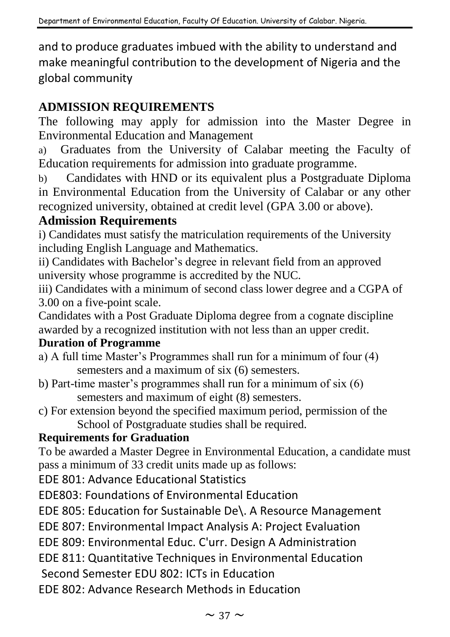and to produce graduates imbued with the ability to understand and make meaningful contribution to the development of Nigeria and the global community

## **ADMISSION REQUIREMENTS**

The following may apply for admission into the Master Degree in Environmental Education and Management

a) Graduates from the University of Calabar meeting the Faculty of Education requirements for admission into graduate programme.

b) Candidates with HND or its equivalent plus a Postgraduate Diploma in Environmental Education from the University of Calabar or any other recognized university, obtained at credit level (GPA 3.00 or above).

### **Admission Requirements**

i) Candidates must satisfy the matriculation requirements of the University including English Language and Mathematics.

ii) Candidates with Bachelor's degree in relevant field from an approved university whose programme is accredited by the NUC.

iii) Candidates with a minimum of second class lower degree and a CGPA of 3.00 on a five-point scale.

Candidates with a Post Graduate Diploma degree from a cognate discipline awarded by a recognized institution with not less than an upper credit.

### **Duration of Programme**

- a) A full time Master's Programmes shall run for a minimum of four (4) semesters and a maximum of six (6) semesters.
- b) Part-time master's programmes shall run for a minimum of six (6) semesters and maximum of eight (8) semesters.
- c) For extension beyond the specified maximum period, permission of the School of Postgraduate studies shall be required.

### **Requirements for Graduation**

To be awarded a Master Degree in Environmental Education, a candidate must pass a minimum of 33 credit units made up as follows:

EDE 801: Advance Educational Statistics

EDE803: Foundations of Environmental Education

EDE 805: Education for Sustainable De\. A Resource Management

EDE 807: Environmental Impact Analysis A: Project Evaluation

EDE 809: Environmental Educ. C'urr. Design A Administration

EDE 811: Quantitative Techniques in Environmental Education

Second Semester EDU 802: ICTs in Education

EDE 802: Advance Research Methods in Education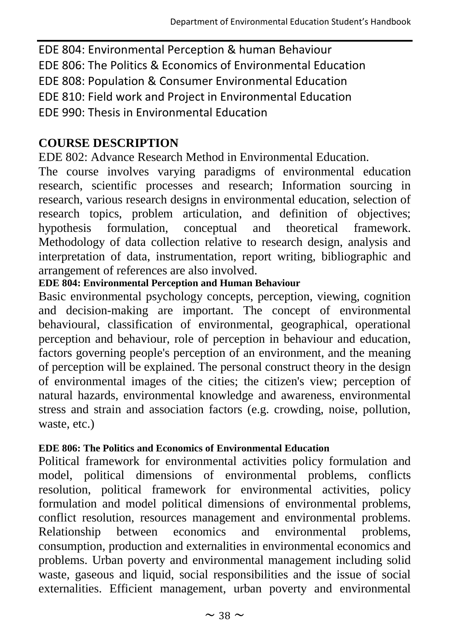EDE 804: Environmental Perception & human Behaviour EDE 806: The Politics & Economics of Environmental Education EDE 808: Population & Consumer Environmental Education EDE 810: Field work and Project in Environmental Education EDE 990: Thesis in Environmental Education

## **COURSE DESCRIPTION**

EDE 802: Advance Research Method in Environmental Education.

The course involves varying paradigms of environmental education research, scientific processes and research; Information sourcing in research, various research designs in environmental education, selection of research topics, problem articulation, and definition of objectives; hypothesis formulation, conceptual and theoretical framework. Methodology of data collection relative to research design, analysis and interpretation of data, instrumentation, report writing, bibliographic and arrangement of references are also involved.

### **EDE 804: Environmental Perception and Human Behaviour**

Basic environmental psychology concepts, perception, viewing, cognition and decision-making are important. The concept of environmental behavioural, classification of environmental, geographical, operational perception and behaviour, role of perception in behaviour and education, factors governing people's perception of an environment, and the meaning of perception will be explained. The personal construct theory in the design of environmental images of the cities; the citizen's view; perception of natural hazards, environmental knowledge and awareness, environmental stress and strain and association factors (e.g. crowding, noise, pollution, waste, etc.)

### **EDE 806: The Politics and Economics of Environmental Education**

Political framework for environmental activities policy formulation and model, political dimensions of environmental problems, conflicts resolution, political framework for environmental activities, policy formulation and model political dimensions of environmental problems, conflict resolution, resources management and environmental problems. Relationship between economics and environmental problems, consumption, production and externalities in environmental economics and problems. Urban poverty and environmental management including solid waste, gaseous and liquid, social responsibilities and the issue of social externalities. Efficient management, urban poverty and environmental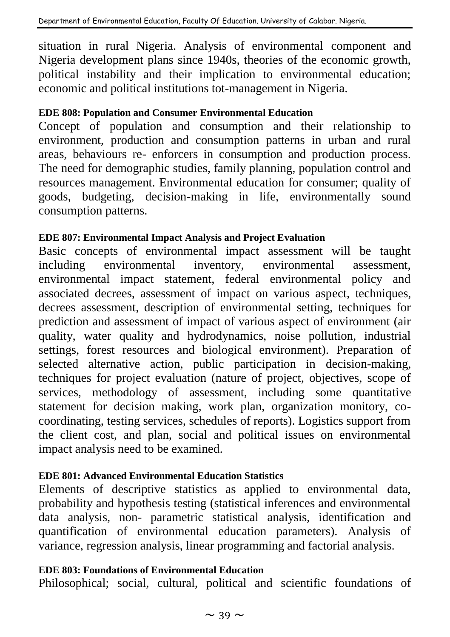situation in rural Nigeria. Analysis of environmental component and Nigeria development plans since 1940s, theories of the economic growth, political instability and their implication to environmental education; economic and political institutions tot-management in Nigeria.

#### **EDE 808: Population and Consumer Environmental Education**

Concept of population and consumption and their relationship to environment, production and consumption patterns in urban and rural areas, behaviours re- enforcers in consumption and production process. The need for demographic studies, family planning, population control and resources management. Environmental education for consumer; quality of goods, budgeting, decision-making in life, environmentally sound consumption patterns.

#### **EDE 807: Environmental Impact Analysis and Project Evaluation**

Basic concepts of environmental impact assessment will be taught including environmental inventory, environmental assessment, environmental impact statement, federal environmental policy and associated decrees, assessment of impact on various aspect, techniques, decrees assessment, description of environmental setting, techniques for prediction and assessment of impact of various aspect of environment (air quality, water quality and hydrodynamics, noise pollution, industrial settings, forest resources and biological environment). Preparation of selected alternative action, public participation in decision-making, techniques for project evaluation (nature of project, objectives, scope of services, methodology of assessment, including some quantitative statement for decision making, work plan, organization monitory, cocoordinating, testing services, schedules of reports). Logistics support from the client cost, and plan, social and political issues on environmental impact analysis need to be examined.

#### **EDE 801: Advanced Environmental Education Statistics**

Elements of descriptive statistics as applied to environmental data, probability and hypothesis testing (statistical inferences and environmental data analysis, non- parametric statistical analysis, identification and quantification of environmental education parameters). Analysis of variance, regression analysis, linear programming and factorial analysis.

#### **EDE 803: Foundations of Environmental Education**

Philosophical; social, cultural, political and scientific foundations of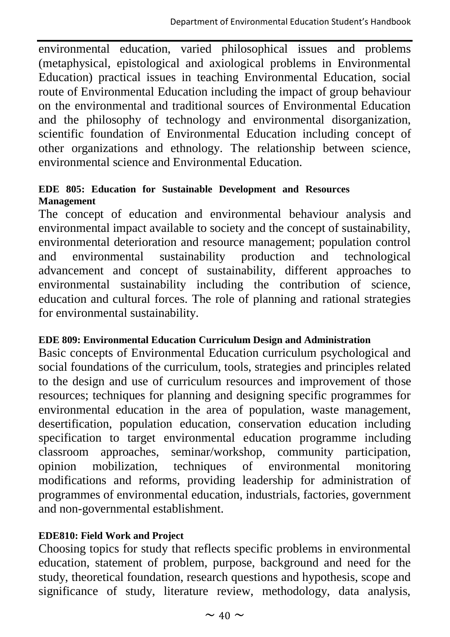environmental education, varied philosophical issues and problems (metaphysical, epistological and axiological problems in Environmental Education) practical issues in teaching Environmental Education, social route of Environmental Education including the impact of group behaviour on the environmental and traditional sources of Environmental Education and the philosophy of technology and environmental disorganization, scientific foundation of Environmental Education including concept of other organizations and ethnology. The relationship between science, environmental science and Environmental Education.

#### **EDE 805: Education for Sustainable Development and Resources Management**

The concept of education and environmental behaviour analysis and environmental impact available to society and the concept of sustainability, environmental deterioration and resource management; population control and environmental sustainability production and technological advancement and concept of sustainability, different approaches to environmental sustainability including the contribution of science, education and cultural forces. The role of planning and rational strategies for environmental sustainability.

#### **EDE 809: Environmental Education Curriculum Design and Administration**

Basic concepts of Environmental Education curriculum psychological and social foundations of the curriculum, tools, strategies and principles related to the design and use of curriculum resources and improvement of those resources; techniques for planning and designing specific programmes for environmental education in the area of population, waste management, desertification, population education, conservation education including specification to target environmental education programme including classroom approaches, seminar/workshop, community participation, opinion mobilization, techniques of environmental monitoring modifications and reforms, providing leadership for administration of programmes of environmental education, industrials, factories, government and non-governmental establishment.

#### **EDE810: Field Work and Project**

Choosing topics for study that reflects specific problems in environmental education, statement of problem, purpose, background and need for the study, theoretical foundation, research questions and hypothesis, scope and significance of study, literature review, methodology, data analysis,